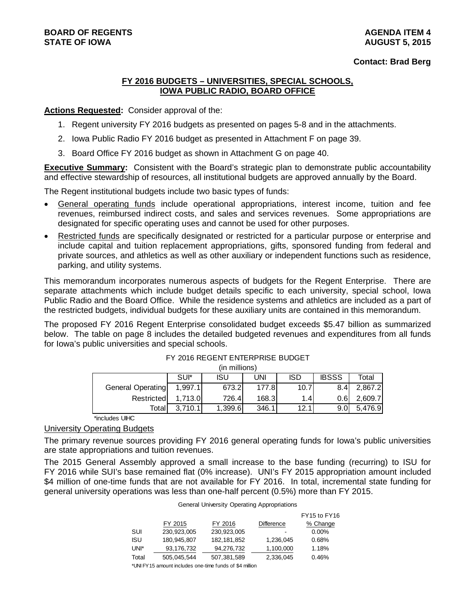#### **Contact: Brad Berg**

#### **FY 2016 BUDGETS – UNIVERSITIES, SPECIAL SCHOOLS, IOWA PUBLIC RADIO, BOARD OFFICE**

#### **Actions Requested:** Consider approval of the:

- 1. Regent university FY 2016 budgets as presented on pages 5-8 and in the attachments.
- 2. Iowa Public Radio FY 2016 budget as presented in Attachment F on page 39.
- 3. Board Office FY 2016 budget as shown in Attachment G on page 40.

**Executive Summary:** Consistent with the Board's strategic plan to demonstrate public accountability and effective stewardship of resources, all institutional budgets are approved annually by the Board.

The Regent institutional budgets include two basic types of funds:

- General operating funds include operational appropriations, interest income, tuition and fee revenues, reimbursed indirect costs, and sales and services revenues. Some appropriations are designated for specific operating uses and cannot be used for other purposes.
- Restricted funds are specifically designated or restricted for a particular purpose or enterprise and include capital and tuition replacement appropriations, gifts, sponsored funding from federal and private sources, and athletics as well as other auxiliary or independent functions such as residence, parking, and utility systems.

This memorandum incorporates numerous aspects of budgets for the Regent Enterprise. There are separate attachments which include budget details specific to each university, special school, Iowa Public Radio and the Board Office. While the residence systems and athletics are included as a part of the restricted budgets, individual budgets for these auxiliary units are contained in this memorandum.

The proposed FY 2016 Regent Enterprise consolidated budget exceeds \$5.47 billion as summarized below. The table on page 8 includes the detailed budgeted revenues and expenditures from all funds for Iowa's public universities and special schools.

|                   |         | (in millions) |       |            |                  |         |
|-------------------|---------|---------------|-------|------------|------------------|---------|
|                   | SUI*    | ISU           | UNI   | <b>ISD</b> | <b>IBSSS</b>     | Total   |
| General Operating | 1.997.1 | 673.2         | 177.8 | 10.7       | 8.4              | 2,867.2 |
| Restricted        | 1.713.0 | 726.41        | 168.3 | 1.4        | 0.6              | 2.609.7 |
| Totall            | 3,710.1 | 1,399.6       | 346.1 | 12.1       | 9.0 <sub>l</sub> | 5,476.9 |

#### FY 2016 REGENT ENTERPRISE BUDGET

\*includes UIHC

# University Operating Budgets

The primary revenue sources providing FY 2016 general operating funds for Iowa's public universities are state appropriations and tuition revenues.

The 2015 General Assembly approved a small increase to the base funding (recurring) to ISU for FY 2016 while SUI's base remained flat (0% increase). UNI's FY 2015 appropriation amount included \$4 million of one-time funds that are not available for FY 2016. In total, incremental state funding for general university operations was less than one-half percent (0.5%) more than FY 2015.

| <b>General University Operating Appropriations</b> |  |
|----------------------------------------------------|--|
|----------------------------------------------------|--|

|       |              |               |                   | FY15 to FY16 |
|-------|--------------|---------------|-------------------|--------------|
|       | FY 2015      | FY 2016       | <b>Difference</b> | % Change     |
| SUI   | 230.923.005  | 230,923,005   | -                 | $0.00\%$     |
| ISU   | 180.945.807  | 182, 181, 852 | 1,236,045         | 0.68%        |
| UNI*  | 93, 176, 732 | 94,276,732    | 1,100,000         | 1.18%        |
| Total | 505,045,544  | 507,381,589   | 2,336,045         | 0.46%        |
|       |              |               |                   |              |

\*UNI FY15 amount includes one-time funds of \$4 million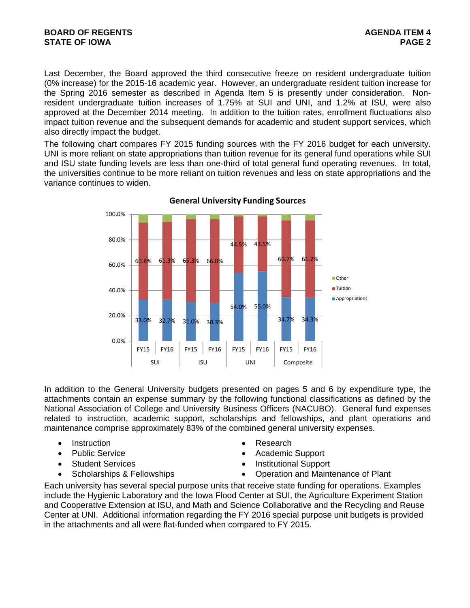### **BOARD OF REGENTS AGENTS** AGENDA ITEM 4 **STATE OF IOWA** PAGE 2

Last December, the Board approved the third consecutive freeze on resident undergraduate tuition (0% increase) for the 2015-16 academic year. However, an undergraduate resident tuition increase for the Spring 2016 semester as described in Agenda Item 5 is presently under consideration. Nonresident undergraduate tuition increases of 1.75% at SUI and UNI, and 1.2% at ISU, were also approved at the December 2014 meeting. In addition to the tuition rates, enrollment fluctuations also impact tuition revenue and the subsequent demands for academic and student support services, which also directly impact the budget.

The following chart compares FY 2015 funding sources with the FY 2016 budget for each university. UNI is more reliant on state appropriations than tuition revenue for its general fund operations while SUI and ISU state funding levels are less than one-third of total general fund operating revenues. In total, the universities continue to be more reliant on tuition revenues and less on state appropriations and the variance continues to widen.



**General University Funding Sources**

In addition to the General University budgets presented on pages 5 and 6 by expenditure type, the attachments contain an expense summary by the following functional classifications as defined by the National Association of College and University Business Officers (NACUBO). General fund expenses related to instruction, academic support, scholarships and fellowships, and plant operations and maintenance comprise approximately 83% of the combined general university expenses.

- Instruction **Contract Contract Contract Contract Contract Contract Contract Contract Contract Contract Contract Contract Contract Contract Contract Contract Contract Contract Contract Contract Contract Contract Contract**
- 
- 
- 
- 
- Public Service **Academic Support**
- Student Services **Institutional Support**
- Scholarships & Fellowships **Constanting Constanting Constanting Constanting Constanting Constanting Constanting Constanting Constanting Constanting Constanting Constanting Constanting Constanting Constanting Constanting**

Each university has several special purpose units that receive state funding for operations. Examples include the Hygienic Laboratory and the Iowa Flood Center at SUI, the Agriculture Experiment Station and Cooperative Extension at ISU, and Math and Science Collaborative and the Recycling and Reuse Center at UNI. Additional information regarding the FY 2016 special purpose unit budgets is provided in the attachments and all were flat-funded when compared to FY 2015.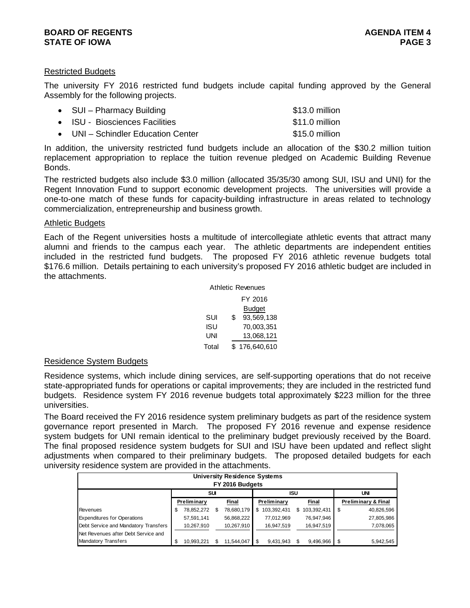#### **BOARD OF REGENTS AGENUS AGENERAL SERVICES** AGENDA ITEM 4 **STATE OF IOWA** PAGE 3

#### Restricted Budgets

The university FY 2016 restricted fund budgets include capital funding approved by the General Assembly for the following projects.

| • SUI – Pharmacy Building          | \$13.0 million |
|------------------------------------|----------------|
| • ISU - Biosciences Facilities     | \$11.0 million |
| • UNI – Schindler Education Center | \$15.0 million |

In addition, the university restricted fund budgets include an allocation of the \$30.2 million tuition replacement appropriation to replace the tuition revenue pledged on Academic Building Revenue Bonds.

The restricted budgets also include \$3.0 million (allocated 35/35/30 among SUI, ISU and UNI) for the Regent Innovation Fund to support economic development projects. The universities will provide a one-to-one match of these funds for capacity-building infrastructure in areas related to technology commercialization, entrepreneurship and business growth.

#### Athletic Budgets

Each of the Regent universities hosts a multitude of intercollegiate athletic events that attract many alumni and friends to the campus each year. The athletic departments are independent entities included in the restricted fund budgets. The proposed FY 2016 athletic revenue budgets total \$176.6 million. Details pertaining to each university's proposed FY 2016 athletic budget are included in the attachments.

|       | Athletic Revenues |
|-------|-------------------|
|       | FY 2016           |
|       | Budget            |
| SUI   | \$<br>93,569,138  |
| isu   | 70,003,351        |
| UNI   | 13,068,121        |
| Total | \$176,640,610     |

#### Residence System Budgets

Residence systems, which include dining services, are self-supporting operations that do not receive state-appropriated funds for operations or capital improvements; they are included in the restricted fund budgets. Residence system FY 2016 revenue budgets total approximately \$223 million for the three universities.

The Board received the FY 2016 residence system preliminary budgets as part of the residence system governance report presented in March. The proposed FY 2016 revenue and expense residence system budgets for UNI remain identical to the preliminary budget previously received by the Board. The final proposed residence system budgets for SUI and ISU have been updated and reflect slight adjustments when compared to their preliminary budgets. The proposed detailed budgets for each university residence system are provided in the attachments.

|                                      |    |                    |     | <b>University Residence Systems</b><br>FY 2016 Budgets |    |             |     |             |                     |
|--------------------------------------|----|--------------------|-----|--------------------------------------------------------|----|-------------|-----|-------------|---------------------|
|                                      |    |                    | SUI |                                                        |    |             | ISU |             | UNI                 |
|                                      |    | <b>Preliminary</b> |     | Final                                                  |    | Preliminary |     | Final       | Preliminary & Final |
| Revenues                             | S  | 78,852,272         | \$  | 78,680,179                                             | S. | 103,392,431 | S.  | 103,392,431 | \$<br>40,826,596    |
| <b>Expenditures for Operations</b>   |    | 57.591.141         |     | 56,868,222                                             |    | 77,012,969  |     | 76,947,946  | 27,805,986          |
| Debt Service and Mandatory Transfers |    | 10.267.910         |     | 10,267,910                                             |    | 16,947,519  |     | 16,947,519  | 7,078,065           |
| Net Revenues after Debt Service and  |    |                    |     |                                                        |    |             |     |             |                     |
| <b>Mandatory Transfers</b>           | \$ | 10.993.221         |     | 11,544,047                                             |    | 9,431,943   |     | 9.496.966   | \$<br>5.942.545     |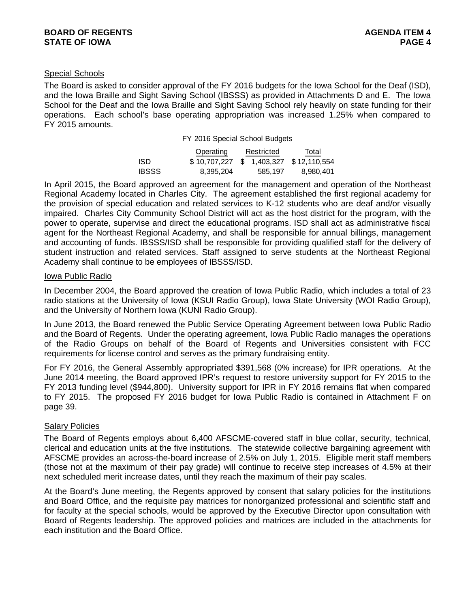# Special Schools

The Board is asked to consider approval of the FY 2016 budgets for the Iowa School for the Deaf (ISD), and the Iowa Braille and Sight Saving School (IBSSS) as provided in Attachments D and E. The Iowa School for the Deaf and the Iowa Braille and Sight Saving School rely heavily on state funding for their operations. Each school's base operating appropriation was increased 1.25% when compared to FY 2015 amounts.

FY 2016 Special School Budgets

|              | Operating                             | Restricted | Total     |
|--------------|---------------------------------------|------------|-----------|
| ISD.         | \$10,707,227 \$1,403,327 \$12,110,554 |            |           |
| <b>IBSSS</b> | 8,395,204                             | 585,197    | 8,980,401 |

In April 2015, the Board approved an agreement for the management and operation of the Northeast Regional Academy located in Charles City. The agreement established the first regional academy for the provision of special education and related services to K-12 students who are deaf and/or visually impaired. Charles City Community School District will act as the host district for the program, with the power to operate, supervise and direct the educational programs. ISD shall act as administrative fiscal agent for the Northeast Regional Academy, and shall be responsible for annual billings, management and accounting of funds. IBSSS/ISD shall be responsible for providing qualified staff for the delivery of student instruction and related services. Staff assigned to serve students at the Northeast Regional Academy shall continue to be employees of IBSSS/ISD.

#### Iowa Public Radio

In December 2004, the Board approved the creation of Iowa Public Radio, which includes a total of 23 radio stations at the University of Iowa (KSUI Radio Group), Iowa State University (WOI Radio Group), and the University of Northern Iowa (KUNI Radio Group).

In June 2013, the Board renewed the Public Service Operating Agreement between Iowa Public Radio and the Board of Regents. Under the operating agreement, Iowa Public Radio manages the operations of the Radio Groups on behalf of the Board of Regents and Universities consistent with FCC requirements for license control and serves as the primary fundraising entity.

For FY 2016, the General Assembly appropriated \$391,568 (0% increase) for IPR operations. At the June 2014 meeting, the Board approved IPR's request to restore university support for FY 2015 to the FY 2013 funding level (\$944,800). University support for IPR in FY 2016 remains flat when compared to FY 2015. The proposed FY 2016 budget for Iowa Public Radio is contained in Attachment F on page 39.

#### **Salary Policies**

The Board of Regents employs about 6,400 AFSCME-covered staff in blue collar, security, technical, clerical and education units at the five institutions. The statewide collective bargaining agreement with AFSCME provides an across-the-board increase of 2.5% on July 1, 2015. Eligible merit staff members (those not at the maximum of their pay grade) will continue to receive step increases of 4.5% at their next scheduled merit increase dates, until they reach the maximum of their pay scales.

At the Board's June meeting, the Regents approved by consent that salary policies for the institutions and Board Office, and the requisite pay matrices for nonorganized professional and scientific staff and for faculty at the special schools, would be approved by the Executive Director upon consultation with Board of Regents leadership. The approved policies and matrices are included in the attachments for each institution and the Board Office.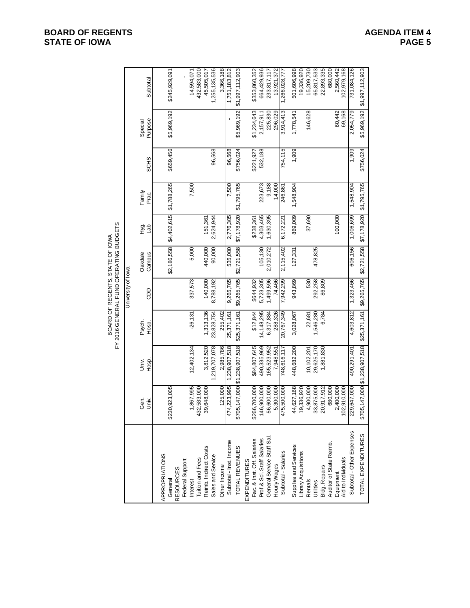# **BOARD OF REGENTS**<br> **BOARD OF REGENTS**<br> **BOARD OF IOWA**<br>
PAGE 5 **STATE OF IOWA**

|                             |                 |                               | FY 2016 GENERAL FUND OPERATING BUDGETS |                    | BOARD OF REGENTS, STATE OF IOWA |             |                         |             |                    |                 |
|-----------------------------|-----------------|-------------------------------|----------------------------------------|--------------------|---------------------------------|-------------|-------------------------|-------------|--------------------|-----------------|
|                             |                 |                               |                                        | University of lowa |                                 |             |                         |             |                    |                 |
|                             | Gen.<br>Univ.   | Hosp.<br>Univ.                | Psych.<br>Hosp.                        | GDD                | Campus<br>Oakdale               | 호 공<br>고    | Family<br>Prac.         | <b>SCHS</b> | Purpose<br>Special | Subtotal        |
| APPROPRIATIONS              |                 |                               |                                        |                    |                                 |             |                         |             |                    |                 |
| <b>RESOURCES</b><br>General | \$230,923,005   |                               |                                        |                    | \$2,186,558                     | \$4,402,615 | \$1,788,265             | \$659,456   | \$5,969,192        | \$245,929,091   |
| Federal Support             |                 |                               |                                        |                    |                                 |             |                         |             |                    |                 |
| Interest                    | 1,867,995       | 12,402,134                    | $-26,131$                              | 337,573            | 5,000                           |             | 7,500                   |             |                    | 14,594,071      |
| Tuition and Fees            | 432,583,000     |                               |                                        |                    |                                 |             |                         |             |                    | 432,583,000     |
| Reimb. Indirect Costs       | 39,648,000      | 3,812,520                     | 1,313,136                              | 140,000            | 440,000                         | 151.361     |                         |             |                    | 45,505,017      |
| Sales and Service           |                 | 1,219,707,078                 | 23,828,754                             | 8,788,192          | 90,000                          | 2,624,944   |                         | 96,568      |                    | 1,255,135,536   |
| Other Income                | 125,000         | 2,985,786                     | 255,402                                |                    |                                 |             |                         |             |                    | 3,366,188       |
| Subtotal - Inst. Income     | 74,223,995<br>4 | 1,238,907,518                 | 25,371,161                             | 9,265,765          | 535,000                         | 2,776,305   | 009'Z                   | 96,568      |                    | 1,751,183,812   |
| TOTAL REVENUES              | $\frac{8}{2}$   | 05,147,000 \$1,238,907,518    | \$25,371,161                           | \$9,265,765        | \$2,721,558                     | \$7,178,920 | \$1,795,765             | \$756,024   | \$5,969,192        | \$1,997,112,903 |
| EXPENDITURES                |                 |                               |                                        |                    |                                 |             |                         |             |                    |                 |
| Fac. & Inst. Off. Salaries  | \$266,700,000   | \$84,807,645                  | \$12,844                               | \$644,932          |                                 | \$238,361   |                         | \$221,927   | \$1,234,643        | \$353,860,352   |
| Prof.& Sci. Staff Salaries  | 146,900,000     | 490,335,969                   | 14,148,295                             | 5,723,305          | 105,130                         | 4,303,465   | 223,673                 | 532,188     | 2,157,911          | 664,429,936     |
| General Service Staff Sal.  | 56,600,000      | 165,523,952                   | 6,317,884                              | 1,499,596          | 2,010,272                       | 1,630,395   | 9,188                   |             | 225,830            | 233,817,117     |
| Hourly Wages                | 5,300,000       | 7,948,551                     | 288,326                                | 74,466             |                                 |             | 14,000                  |             | 296,029            | 13,921,372      |
| Subtotal - Salaries         | 75,500,000<br>4 | 748,616,117                   | 20,767,349                             | 7,942,299          | 2,115,402                       | 6,172,221   | 246,861                 | 754,115     | 3,914,413          | 1,266,028,777   |
| Supplies and Services       | 44,627,168      | 448,682,200                   | 3,028,067                              | 943,869            | 127,331                         | 869,009     | 1,548,904               | 1,909       | 1,778,541          | 501,606,998     |
| Library Acquisitions        | 19,336,920      |                               |                                        |                    |                                 |             |                         |             |                    | 19,336,920      |
| Rentals                     | 4,900,000       | 10,102,201                    | 22,681                                 | 530                |                                 | 37,690      |                         |             | 146,628            | 15,209,730      |
| Utilities                   | 33,875,000      | 29,625,170                    | 1,546,280                              | 292,258            | 478,825                         |             |                         |             |                    | 65,817,533      |
| Bldg. Repairs               | 20,917,912      | 1,881,830                     | 6,784                                  | 86,809             |                                 |             |                         |             |                    | 22,893,335      |
| Auditor of State Reimb.     | 680,000         |                               |                                        |                    |                                 |             |                         |             |                    | 680,000         |
| Equipment                   | 2,400,000       |                               |                                        |                    |                                 | 100,000     |                         |             | 60,442             | 2,560,442       |
| Aid to Individuals          | 102,910,000     |                               |                                        |                    |                                 |             |                         |             | 69,168             | 102,979,168     |
| Subtotal - Other Expenses   | 229,647,000     | 490,291,401                   | 4,603,812                              | 1,323,466          | 606,156                         | 1,006,699   | 1,548,904               | 1,909       | 2,054,779          | 731,084,126     |
| TOTAL EXPENDITURES          |                 | \$705,147,000 \$1,238,907,518 | \$25,371,161                           |                    | \$9,265,765 \$2,721,558         |             | \$7,178,920 \$1,795,765 | \$756,024   | \$5,969,192        | \$1,997,112,903 |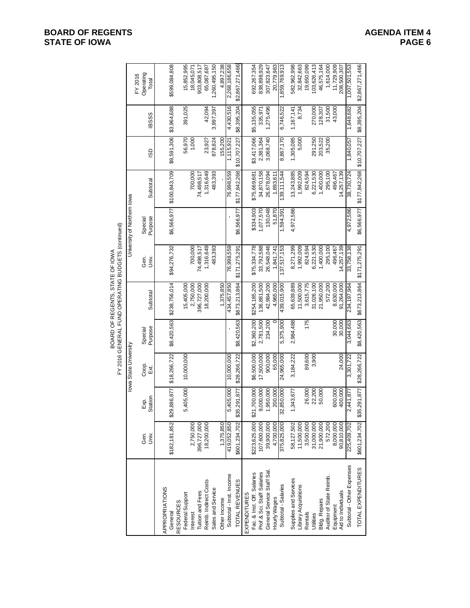|                            |               |                            |                       |                    | BOARD OF REGENTS, STATE OF IOWA | FY 2016 GENERAL FUND OPERATING BUDGETS (continued) |                             |                                        |              |              |                               |
|----------------------------|---------------|----------------------------|-----------------------|--------------------|---------------------------------|----------------------------------------------------|-----------------------------|----------------------------------------|--------------|--------------|-------------------------------|
|                            |               |                            | lowa State University |                    |                                 |                                                    | University of Northern lowa |                                        |              |              |                               |
|                            | Gen.<br>Š     | Station<br>Exp.            | Coop.<br>Exi,         | Purpose<br>Special | Subtotal                        | Gen.<br>Univ.                                      | Purpose<br>Specia           | Subtotal                               | GSI          | <b>IBSSS</b> | Operating<br>FY 2016<br>Total |
| APPROPRIATIONS             |               |                            |                       |                    |                                 |                                                    |                             |                                        |              |              |                               |
| General                    | \$182,181,852 | \$29,886,877               | \$18,266,722          | \$8,420,563        | \$238,756,014                   | \$94,276,732                                       | \$6,566,977                 | \$100,843,709                          | \$9,591,306  | \$3,964,688  | \$599,084,808                 |
| <b>RESOURCES</b>           |               |                            |                       |                    |                                 |                                                    |                             |                                        |              |              |                               |
| Federal Support            |               | 5,405,000                  | 10,000,000            |                    | 15,405,000                      |                                                    |                             |                                        | 56,970       | 391,025      | 15,852,995                    |
| Interest                   | 2,750,000     |                            |                       |                    | 2,750,000                       | 700,000                                            |                             | 700,000                                | 1,000        |              | 18,045,071                    |
| <b>Tuition and Fees</b>    | 396,727,000   |                            |                       |                    | 396,727,000                     | 74,498,517                                         |                             | 74,498,517                             |              |              | 903,808,517                   |
| Reimb. Indirect Costs      | 18,200,000    |                            |                       |                    | 18,200,000                      | 1,316,649                                          |                             | 1,316,649                              | 23,927       | 42,094       | 65,087,687                    |
| Sales and Service          |               |                            |                       |                    |                                 | 483,393                                            |                             | 483,393                                | 878,824      | 3,997,397    | ,260,495,150                  |
| Other Income               | 1,375,850     |                            |                       |                    | 1,375,850                       |                                                    |                             |                                        | 155,200      |              | 4,897,238                     |
| Subtotal - Inst. Income    | 419,052,850   | 405,000<br>ယ               | 10,000,000            |                    | 434,457,850                     | 76,998,559                                         |                             | 76,998,559                             | 115,921      | 4,430,516    | 2,268,186,658                 |
| TOTAL REVENUES             | \$601,234,702 | \$35,291,877               | \$28,266,722          | \$8,420,563        | \$673,213,864                   | \$171,275,291                                      | \$6,566,977                 | \$177,842,268                          | \$10,707,227 | \$8,395,204  | \$2,867,271,466               |
| <b>EXPENDITURES</b>        |               |                            |                       |                    |                                 |                                                    |                             |                                        |              |              |                               |
| Fac. & Inst. Off. Salaries | \$223,625,000 | \$21,700,000               | \$6,500,000           | \$2,360,200        | \$254,185,200                   | \$75,334,778                                       | \$334,903                   | \$75,669,681                           | \$3,417,066  | \$5,135,055  | 692,267,354                   |
| Prof.& Sci. Staff Salaries | 107,600,000   | ,000,000<br>$\circ$        | 17,500,000            | 2,781,500          | 136,881,500                     | 33,792,588                                         | 1,077,570                   | 34,870,158                             | 2,381,364    | 335.971      | 838,898,929                   |
| General Service Staff Sal. | 39,900,000    | ,950,000                   | 900,000               | 234,200            | 42,984,200                      | 26,548,046                                         | 130,048                     | 26,678,094                             | 3,068,740    | ,275,496     | 307,823,647                   |
| Hourly Wages               | 4.700.000     | 200,000                    | 65,000                |                    | 4.965.000                       | 1.841.741                                          | 51,870                      | 1,893,611                              |              |              | 20,779,983                    |
| Subtotal - Salaries        | 375,825,000   | 32,850,000                 | 24,965,000            | 5,375,900          | 439,015,900                     | 37,517,153                                         | 1,594,39                    | 139, 111, 544                          | 8,867,170    | 6,746,522    | ,859,769,913                  |
| Supplies and Services      | 58,127,502    | ,343,677                   | 3,184,222             | 2,984,488          | 65,639,889                      | 8,271,299                                          | 4,972,586                   | 13,243,885                             | 1,305,085    | 1,167,141    | 582,962,998                   |
| Library Acquisitions       | 11,500,000    |                            |                       |                    | 11,500,000                      | 1,992,009                                          |                             | 1,992,009                              | 5,000        | 8,734        | 32,842,663                    |
| Rentals                    | 3,500,000     | 26,000                     | 89,600                | 175                | 3,615,775                       | 824,594                                            |                             | 824,594                                |              |              | 19,650,099                    |
| Utilities                  | 31,000,000    | 22,200                     | 3,900                 |                    | 31,026,100                      | 6,221,530                                          |                             | 6,221,530                              | 291,250      | 270,000      | 103,626,413                   |
| Bldg. Repairs              | 21,900,000    | 50,000                     |                       |                    | 21,950,000                      | 1,400,000                                          |                             | 1,400,000                              | 203,522      | 128,307      | 46,575,164                    |
| Auditor of State Reimb.    | 572,200       |                            |                       |                    | 572,200                         | 295,100                                            |                             | 295,100                                | 35,200       | 31,500       | 1,614,000                     |
| Equipment                  | 8,000,000     | 600,000                    |                       | 30,000             | 8,630,000                       | 496,467                                            |                             | 496,467                                |              | 43,000       | 11,729,909                    |
| Aid to Individuals         | 90,810,000    | 400,000                    | 24,000                | 30,000             | 91,264,000                      | 14,257,139                                         |                             | 14,257,139                             |              |              | 208,500,307                   |
| Subtotal-Other Expenses    | 225,409,702   | 441,877<br>$\sim$          | 3,301,722             | 3,044,663          | 234,197,964                     | 33,758,138                                         | 4,972,586                   | 38,730,724                             | 1,840,057    | 1,648,682    | 1,007,501,553                 |
| TOTAL EXPENDITURES         |               | \$601,234,702 \$35,291,877 | \$28,266,722          | \$8,420,563        | \$673,213,864                   | \$171,275,291                                      |                             | \$6,566,977 \$177,842,268 \$10,707,227 |              |              | \$8,395,204 \$2,867,271,466   |

# **BOARD OF REGENTS**<br> **BOARD OF REGENTS**<br> **BOARD OF IOWA**<br>
PAGE 6 **STATE OF IOWA**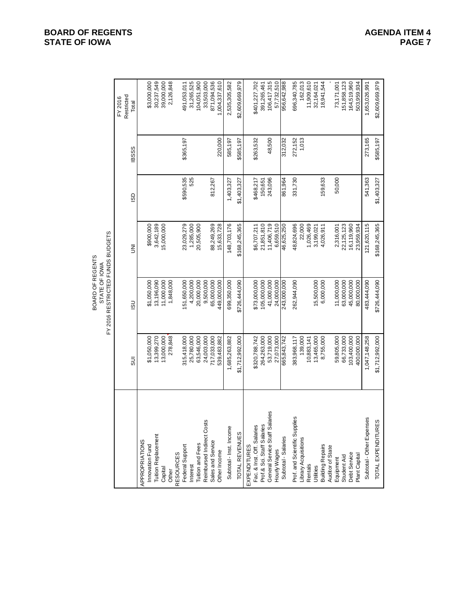|                 | FY 2016 RESTRICTED FUNDS BUDGETS<br>BOARD OF REGENTS<br>STATE OF IOWA |               |             |             | FY 2016             |
|-----------------|-----------------------------------------------------------------------|---------------|-------------|-------------|---------------------|
| $\overline{5}$  | $\overline{5}$                                                        | ξ             | GSI         | <b>BSSS</b> | Restricted<br>Total |
|                 |                                                                       |               |             |             |                     |
| \$1,050,000     | \$1,050,000                                                           | \$900,000     |             |             | \$3,000,000         |
| 13,399,270      | 13,196,090                                                            | 3,642,189     |             |             | 30,237,549          |
| 13,000,000      | 11,000,000                                                            | 15,000,000    |             |             | 39,000,000          |
| 278,848         | 1,848,000                                                             |               |             |             | 2,126,848           |
| 315,418,000     | 151,650,000                                                           | 23,029,279    | \$590,535   | \$365,197   | 491,053,011         |
| 25,780,000      | 4,200,000                                                             | 1,285,000     | 525         |             | 31,265,525          |
| 63,546,000      | 20,000,000                                                            | 20,505,900    |             |             | 104,051,900         |
| 24,003,000      | 9,500,000                                                             |               |             |             | 33,503,000          |
| 717,033,000     | 65,000,000                                                            | 88,249,269    | 812,267     |             | 871,094,536         |
| 539,483,882     | 449,000,000                                                           | 15,633,728    |             | 220,000     | 1,004,337,610       |
| 1,685,263,882   | 699,350,000                                                           | 148,703,176   | 1,403,327   | 585,197     | 2,535,305,582       |
| \$1,712,992,000 | \$726,444,090                                                         | \$168,245,365 | \$1,403,327 | \$585,197   | \$2,609,669,979     |
|                 |                                                                       |               |             |             |                     |
| \$320,788,742   | \$73,000,000                                                          | \$6,707,211   | \$468,217   | \$263,532   | \$401,227,702       |
| 264,263,000     | 105,000,000                                                           | 21,851,810    | 150,651     |             | 391,265,461         |
| 53,719,000      | 41,000,000                                                            | 11,406,719    | 243,096     | 48,500      | 106,417,315         |
| 27,073,000      | 24,000,000                                                            | 6,659,510     |             |             | 57,732,510          |
| 665,843,742     | 243,000,000                                                           | 46,625,250    | 861,964     | 312,032     | 886,242,988         |
| 383,968,117     | 262,944,090                                                           | 48,824,696    | 331,730     | 272,152     | 696,340,785         |
| 139,000         |                                                                       | 22,000        |             | 1,013       | 162,013             |
| 10,883,141      |                                                                       | 1,026,469     |             |             | 11,909,610          |
| 13,465,000      | 15,500,000                                                            | 3,199,021     |             |             | 32,164,021          |
| 8,755,000       | 6,000,000                                                             | 4,026,911     | 159,633     |             | 18,941,544          |
| 59,805,000      | 11,000,000                                                            | 2,316,001     | 50,000      |             | 73,171,001          |
| 66,733,000      | 63,000,000                                                            | 22,125,123    |             |             | 151,858,123         |
| 103,400,000     | 45,000,000                                                            | 16,119,960    |             |             | 164,519,960         |
| 400,000,000     | 80,000,000                                                            | 23,959,934    |             |             | 503,959,934         |
| 1,047,148,258   | 483,444,090                                                           | 121,620,115   | 541,363     | 273,165     | 1,653,026,991       |
| \$1,712,992,000 | \$726,444,090                                                         | \$168,245,365 | \$1,403,327 | \$585,197   | \$2,609,669,979     |

# **BOARD OF REGENTS**<br> **BOARD OF REGENTS**<br> **BOARD OF IOWA**<br>
PAGE 7 **STATE OF IOWA**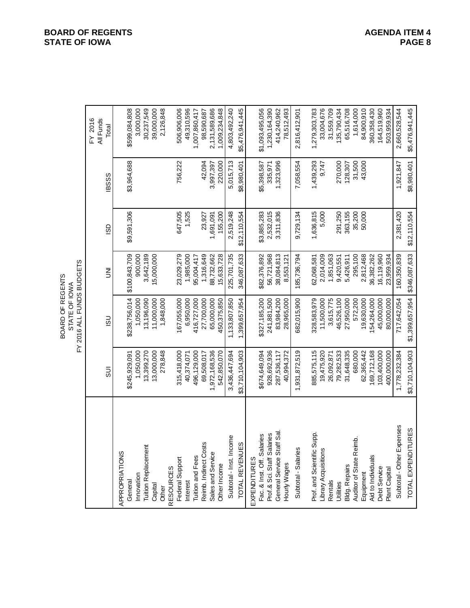|                               |                 | FY 2016 ALL FUNDS BUDGETS<br>BOARD OF REGENTS<br>STATE OF IOWA |               |              |              |                               |
|-------------------------------|-----------------|----------------------------------------------------------------|---------------|--------------|--------------|-------------------------------|
|                               | m<br>Su         | $\overline{5}$                                                 | ξ             | <b>GSI</b>   | <b>IBSSS</b> | All Funds<br>FY 2016<br>Total |
| APPROPRIATIONS                |                 |                                                                |               |              |              |                               |
| General                       | \$245,929,091   | \$238,756,014                                                  | \$100,843,709 | \$9,591,306  | \$3,964,688  | \$599,084,808                 |
| Innovation                    | 1,050,000       | 1,050,000                                                      | 900,000       |              |              | 3,000,000                     |
| <b>Tuition Replacement</b>    | 13,399,270      | 13,196,090                                                     | 3,642,189     |              |              | 30,237,549                    |
| Capital                       | 13,000,000      | 11,000,000                                                     | 15,000,000    |              |              | 39,000,000                    |
| Other                         | 278,848         | 1,848,000                                                      |               |              |              | 2,126,848                     |
| <b>RESOURCES</b>              |                 |                                                                |               |              |              |                               |
| Federal Support               | 315,418,000     | 167,055,000                                                    | 23,029,279    | 647,505      | 756,222      | 506,906,006                   |
| Interest                      | 40,374,071      | 6,950,000                                                      | 1,985,000     | 1,525        |              | 49,310,596                    |
| Tuition and Fees              | 496,129,000     | 416,727,000                                                    | 95,004,417    |              |              | 1,007,860,417                 |
| Reimb. Indirect Costs         | 69,508,017      | 27,700,000                                                     | 1,316,649     | 23,927       | 42,094       | 98,590,687                    |
| Sales and Service             | 1,972,168,536   | 65,000,000                                                     | 88,732,662    | 1,691,091    | 3,997,397    | 2,131,589,686                 |
| Other Income                  | 542,850,070     | 450,375,850                                                    | 15,633,728    | 155,200      | 220,000      | 1,009,234,848                 |
| Subtotal - Inst. Income       | 3,436,447,694   | 1,133,807,850                                                  | 225,701,735   | 2,519,248    | 5,015,713    | 4,803,492,240                 |
| TOTAL REVENUES                | \$3,710,104,903 | 1,399,657,954                                                  | 346,087,633   | \$12,110,554 | \$8,980,401  | \$5,476,941,445               |
| EXPENDITURES                  |                 |                                                                |               |              |              |                               |
| Fac. & Inst. Off. Salaries    | \$674,649,094   | \$327,185,200                                                  | \$82,376,892  | \$3,885,283  | \$5,398,587  | \$1,093,495,056               |
| Prof.& Sci. Staff Salaries    | 928,692,936     | 241,881,500                                                    | 56,721,968    | 2,532,015    | 335,971      | 1,230,164,390                 |
| General Service Staff Sal.    | 287,536,117     | 83,984,200                                                     | 38,084,813    | 3,311,836    | 1,323,996    | 414,240,962                   |
| Hourly Wages                  | 40,994,372      | 28,965,000                                                     | 8,553,121     |              |              | 78,512,493                    |
| Subtotal - Salaries           | 1,931,872,519   | 682,015,900                                                    | 185,736,794   | 9,729,134    | 7,058,554    | 2,816,412,901                 |
| Supp.<br>Prof. and Scientific | 885,575,115     | 328,583,979                                                    | 62,068,581    | 1,636,815    | 1,439,293    | 1,279,303,783                 |
| Library Acquisitions          | 19,475,920      | 11,500,000                                                     | 2,014,009     | 5,000        | 9,747        | 33,004,676                    |
| Rentals                       | 26,092,871      | 3,615,775                                                      | 1,851,063     |              |              | 31,559,709                    |
| Utilities                     | 79,282,533      | 46,526,100                                                     | 9,420,551     | 291,250      | 270,000      | 135,790,434                   |
| <b>Bldg. Repairs</b>          | 31,648,335      | 27,950,000                                                     | 5,426,911     | 363,155      | 128,307      | 65,516,708                    |
| Auditor of State Reimb.       | 680,000         | 572,200                                                        | 295,100       | 35,200       | 31,500       | 1,614,000                     |
| Equipment                     | 62,365,442      | 19,630,000                                                     | 2,812,468     | 50,000       | 43,000       | 84,900,910                    |
| Aid to Individuals            | 169,712,168     | 154,264,000                                                    | 36,382,262    |              |              | 360,358,430                   |
| Debt Service                  | 103,400,000     | 45,000,000                                                     | 16,119,960    |              |              | 164,519,960                   |
| Plant Capital                 | 400,000,000     | 80,000,000                                                     | 23,959,934    |              |              | 503,959,934                   |
| Subtotal - Other Expenses     | 1,778,232,384   | 717,642,054                                                    | 160,350,839   | 2,381,420    | 1,921,847    | 2,660,528,544                 |
| <b>TURES</b><br>TOTAL EXPENDI | \$3,710,104,903 | \$1,399,657,954                                                | \$346,087,633 | \$12,110,554 | \$8,980,401  | \$5,476,941,445               |

**BOARD OF REGENTS**<br> **BOARD OF REGENTS**<br> **BOARD OF IOWA**<br>
PAGE 8 **STATE OF IOWA**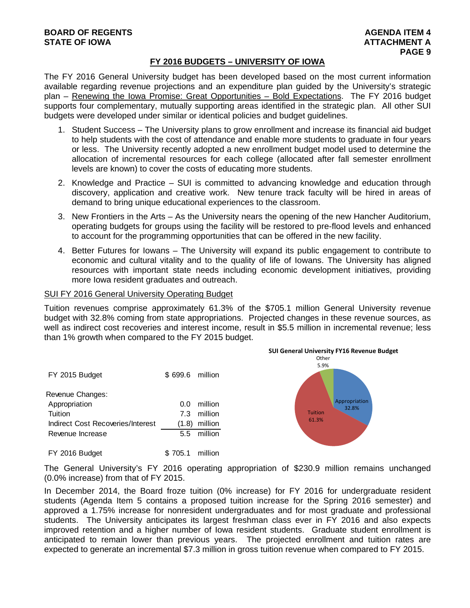#### **FY 2016 BUDGETS – UNIVERSITY OF IOWA**

The FY 2016 General University budget has been developed based on the most current information available regarding revenue projections and an expenditure plan guided by the University's strategic plan – Renewing the Iowa Promise: Great Opportunities – Bold Expectations. The FY 2016 budget supports four complementary, mutually supporting areas identified in the strategic plan. All other SUI budgets were developed under similar or identical policies and budget guidelines.

- 1. Student Success The University plans to grow enrollment and increase its financial aid budget to help students with the cost of attendance and enable more students to graduate in four years or less. The University recently adopted a new enrollment budget model used to determine the allocation of incremental resources for each college (allocated after fall semester enrollment levels are known) to cover the costs of educating more students.
- 2. Knowledge and Practice SUI is committed to advancing knowledge and education through discovery, application and creative work. New tenure track faculty will be hired in areas of demand to bring unique educational experiences to the classroom.
- 3. New Frontiers in the Arts As the University nears the opening of the new Hancher Auditorium, operating budgets for groups using the facility will be restored to pre-flood levels and enhanced to account for the programming opportunities that can be offered in the new facility.
- 4. Better Futures for Iowans The University will expand its public engagement to contribute to economic and cultural vitality and to the quality of life of Iowans. The University has aligned resources with important state needs including economic development initiatives, providing more Iowa resident graduates and outreach.

#### SUI FY 2016 General University Operating Budget

Tuition revenues comprise approximately 61.3% of the \$705.1 million General University revenue budget with 32.8% coming from state appropriations. Projected changes in these revenue sources, as well as indirect cost recoveries and interest income, result in \$5.5 million in incremental revenue; less than 1% growth when compared to the FY 2015 budget.

| FY 2015 Budget                    | \$699.6 million |             |
|-----------------------------------|-----------------|-------------|
| Revenue Changes:                  |                 |             |
| Appropriation                     | ი ი             | million     |
| Tuition                           |                 | 7.3 million |
| Indirect Cost Recoveries/Interest | (1.8)           | million     |
| Revenue Increase                  |                 | 5.5 million |
|                                   |                 |             |

FY 2016 Budget \$705.1 million



The General University's FY 2016 operating appropriation of \$230.9 million remains unchanged (0.0% increase) from that of FY 2015.

In December 2014, the Board froze tuition (0% increase) for FY 2016 for undergraduate resident students (Agenda Item 5 contains a proposed tuition increase for the Spring 2016 semester) and approved a 1.75% increase for nonresident undergraduates and for most graduate and professional students. The University anticipates its largest freshman class ever in FY 2016 and also expects improved retention and a higher number of Iowa resident students. Graduate student enrollment is anticipated to remain lower than previous years. The projected enrollment and tuition rates are expected to generate an incremental \$7.3 million in gross tuition revenue when compared to FY 2015.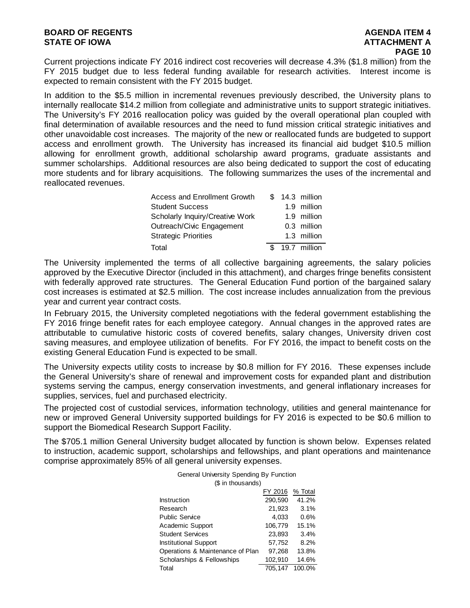Current projections indicate FY 2016 indirect cost recoveries will decrease 4.3% (\$1.8 million) from the FY 2015 budget due to less federal funding available for research activities. Interest income is expected to remain consistent with the FY 2015 budget.

In addition to the \$5.5 million in incremental revenues previously described, the University plans to internally reallocate \$14.2 million from collegiate and administrative units to support strategic initiatives. The University's FY 2016 reallocation policy was guided by the overall operational plan coupled with final determination of available resources and the need to fund mission critical strategic initiatives and other unavoidable cost increases. The majority of the new or reallocated funds are budgeted to support access and enrollment growth. The University has increased its financial aid budget \$10.5 million allowing for enrollment growth, additional scholarship award programs, graduate assistants and summer scholarships. Additional resources are also being dedicated to support the cost of educating more students and for library acquisitions. The following summarizes the uses of the incremental and reallocated revenues.

| Access and Enrollment Growth    |  | \$ 14.3 million |
|---------------------------------|--|-----------------|
| <b>Student Success</b>          |  | 1.9 million     |
| Scholarly Inquiry/Creative Work |  | 1.9 million     |
| Outreach/Civic Engagement       |  | 0.3 million     |
| <b>Strategic Priorities</b>     |  | 1.3 million     |
| Total                           |  | \$ 19.7 million |

The University implemented the terms of all collective bargaining agreements, the salary policies approved by the Executive Director (included in this attachment), and charges fringe benefits consistent with federally approved rate structures. The General Education Fund portion of the bargained salary cost increases is estimated at \$2.5 million. The cost increase includes annualization from the previous year and current year contract costs.

In February 2015, the University completed negotiations with the federal government establishing the FY 2016 fringe benefit rates for each employee category. Annual changes in the approved rates are attributable to cumulative historic costs of covered benefits, salary changes, University driven cost saving measures, and employee utilization of benefits. For FY 2016, the impact to benefit costs on the existing General Education Fund is expected to be small.

The University expects utility costs to increase by \$0.8 million for FY 2016. These expenses include the General University's share of renewal and improvement costs for expanded plant and distribution systems serving the campus, energy conservation investments, and general inflationary increases for supplies, services, fuel and purchased electricity.

The projected cost of custodial services, information technology, utilities and general maintenance for new or improved General University supported buildings for FY 2016 is expected to be \$0.6 million to support the Biomedical Research Support Facility.

The \$705.1 million General University budget allocated by function is shown below. Expenses related to instruction, academic support, scholarships and fellowships, and plant operations and maintenance comprise approximately 85% of all general university expenses.

| General University Spending By Function |         |         |  |  |
|-----------------------------------------|---------|---------|--|--|
| (\$ in thousands)                       |         |         |  |  |
|                                         | FY 2016 | % Total |  |  |
| Instruction                             | 290,590 | 41.2%   |  |  |
| Research                                | 21,923  | 3.1%    |  |  |
| <b>Public Service</b>                   | 4.033   | 0.6%    |  |  |
| Academic Support                        | 106,779 | 15.1%   |  |  |
| <b>Student Services</b>                 | 23.893  | 3.4%    |  |  |
| <b>Institutional Support</b>            | 57,752  | 8.2%    |  |  |
| Operations & Maintenance of Plan        | 97,268  | 13.8%   |  |  |
| Scholarships & Fellowships              | 102,910 | 14.6%   |  |  |
| Total                                   | 705.147 | 100.0%  |  |  |

| General University Spending By Function |
|-----------------------------------------|
| (\$ in thousands)                       |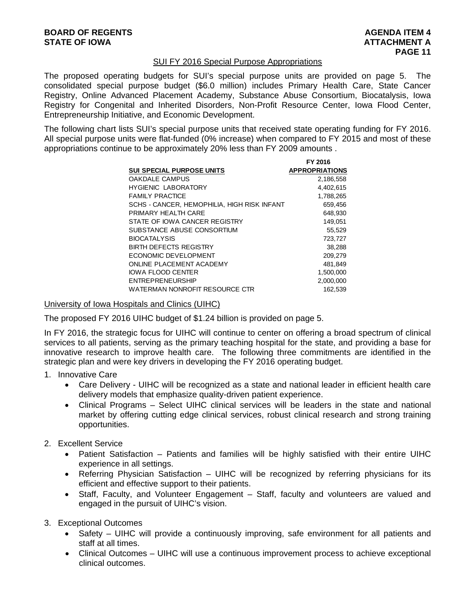#### SUI FY 2016 Special Purpose Appropriations

The proposed operating budgets for SUI's special purpose units are provided on page 5. The consolidated special purpose budget (\$6.0 million) includes Primary Health Care, State Cancer Registry, Online Advanced Placement Academy, Substance Abuse Consortium, Biocatalysis, Iowa Registry for Congenital and Inherited Disorders, Non-Profit Resource Center, Iowa Flood Center, Entrepreneurship Initiative, and Economic Development.

The following chart lists SUI's special purpose units that received state operating funding for FY 2016. All special purpose units were flat-funded (0% increase) when compared to FY 2015 and most of these appropriations continue to be approximately 20% less than FY 2009 amounts .

| <b>APPROPRIATIONS</b> |
|-----------------------|
| 2,186,558             |
| 4,402,615             |
| 1,788,265             |
| 659,456               |
| 648.930               |
| 149,051               |
| 55,529                |
| 723,727               |
| 38,288                |
| 209.279               |
| 481,849               |
| 1,500,000             |
| 2,000,000             |
| 162.539               |
|                       |

#### University of Iowa Hospitals and Clinics (UIHC)

The proposed FY 2016 UIHC budget of \$1.24 billion is provided on page 5.

In FY 2016, the strategic focus for UIHC will continue to center on offering a broad spectrum of clinical services to all patients, serving as the primary teaching hospital for the state, and providing a base for innovative research to improve health care. The following three commitments are identified in the strategic plan and were key drivers in developing the FY 2016 operating budget.

- 1. Innovative Care
	- Care Delivery UIHC will be recognized as a state and national leader in efficient health care delivery models that emphasize quality-driven patient experience.
	- Clinical Programs Select UIHC clinical services will be leaders in the state and national market by offering cutting edge clinical services, robust clinical research and strong training opportunities.

#### 2. Excellent Service

- Patient Satisfaction Patients and families will be highly satisfied with their entire UIHC experience in all settings.
- Referring Physician Satisfaction UIHC will be recognized by referring physicians for its efficient and effective support to their patients.
- Staff, Faculty, and Volunteer Engagement Staff, faculty and volunteers are valued and engaged in the pursuit of UIHC's vision.
- 3. Exceptional Outcomes
	- Safety UIHC will provide a continuously improving, safe environment for all patients and staff at all times.
	- Clinical Outcomes UIHC will use a continuous improvement process to achieve exceptional clinical outcomes.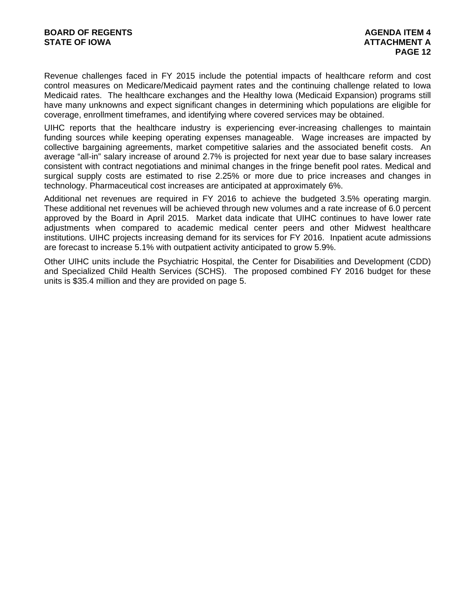Revenue challenges faced in FY 2015 include the potential impacts of healthcare reform and cost control measures on Medicare/Medicaid payment rates and the continuing challenge related to Iowa Medicaid rates. The healthcare exchanges and the Healthy Iowa (Medicaid Expansion) programs still have many unknowns and expect significant changes in determining which populations are eligible for coverage, enrollment timeframes, and identifying where covered services may be obtained.

UIHC reports that the healthcare industry is experiencing ever-increasing challenges to maintain funding sources while keeping operating expenses manageable. Wage increases are impacted by collective bargaining agreements, market competitive salaries and the associated benefit costs. An average "all-in" salary increase of around 2.7% is projected for next year due to base salary increases consistent with contract negotiations and minimal changes in the fringe benefit pool rates. Medical and surgical supply costs are estimated to rise 2.25% or more due to price increases and changes in technology. Pharmaceutical cost increases are anticipated at approximately 6%.

Additional net revenues are required in FY 2016 to achieve the budgeted 3.5% operating margin. These additional net revenues will be achieved through new volumes and a rate increase of 6.0 percent approved by the Board in April 2015. Market data indicate that UIHC continues to have lower rate adjustments when compared to academic medical center peers and other Midwest healthcare institutions. UIHC projects increasing demand for its services for FY 2016. Inpatient acute admissions are forecast to increase 5.1% with outpatient activity anticipated to grow 5.9%.

Other UIHC units include the Psychiatric Hospital, the Center for Disabilities and Development (CDD) and Specialized Child Health Services (SCHS). The proposed combined FY 2016 budget for these units is \$35.4 million and they are provided on page 5.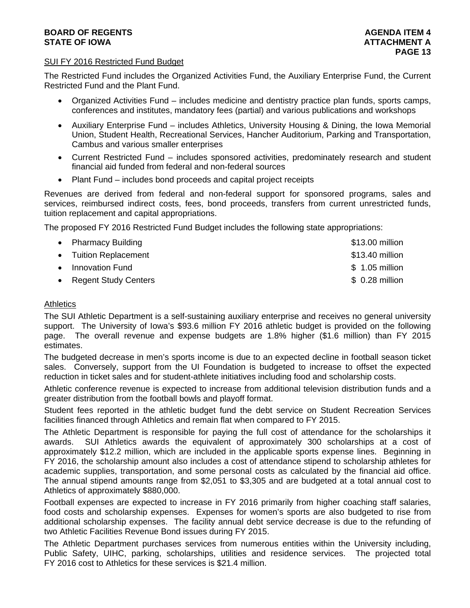### **BOARD OF REGENTS AGENTS** AGENDA ITEM 4 **STATE OF IOWA AND RESERVE A LOCAL CONSUMING A LOCAL CONSUMING A LOCAL CONSUMING A LOCAL CONSUMING A LOCAL CONSUMING A LOCAL CONSUMING A LOCAL CONSUMING A LOCAL CONSUMING A LOCAL CONSUMING A LOCAL CONSUMING A LOCAL CONSUMI**

#### SUI FY 2016 Restricted Fund Budget

The Restricted Fund includes the Organized Activities Fund, the Auxiliary Enterprise Fund, the Current Restricted Fund and the Plant Fund.

- Organized Activities Fund includes medicine and dentistry practice plan funds, sports camps, conferences and institutes, mandatory fees (partial) and various publications and workshops
- Auxiliary Enterprise Fund includes Athletics, University Housing & Dining, the Iowa Memorial Union, Student Health, Recreational Services, Hancher Auditorium, Parking and Transportation, Cambus and various smaller enterprises
- Current Restricted Fund includes sponsored activities, predominately research and student financial aid funded from federal and non-federal sources
- Plant Fund includes bond proceeds and capital project receipts

Revenues are derived from federal and non-federal support for sponsored programs, sales and services, reimbursed indirect costs, fees, bond proceeds, transfers from current unrestricted funds, tuition replacement and capital appropriations.

The proposed FY 2016 Restricted Fund Budget includes the following state appropriations:

| • Pharmacy Building    | \$13.00 million |
|------------------------|-----------------|
| • Tuition Replacement  | \$13.40 million |
| • Innovation Fund      | $$1.05$ million |
| • Regent Study Centers | $$0.28$ million |

# **Athletics**

The SUI Athletic Department is a self-sustaining auxiliary enterprise and receives no general university support. The University of Iowa's \$93.6 million FY 2016 athletic budget is provided on the following page. The overall revenue and expense budgets are 1.8% higher (\$1.6 million) than FY 2015 estimates.

The budgeted decrease in men's sports income is due to an expected decline in football season ticket sales. Conversely, support from the UI Foundation is budgeted to increase to offset the expected reduction in ticket sales and for student-athlete initiatives including food and scholarship costs.

Athletic conference revenue is expected to increase from additional television distribution funds and a greater distribution from the football bowls and playoff format.

Student fees reported in the athletic budget fund the debt service on Student Recreation Services facilities financed through Athletics and remain flat when compared to FY 2015.

The Athletic Department is responsible for paying the full cost of attendance for the scholarships it awards. SUI Athletics awards the equivalent of approximately 300 scholarships at a cost of approximately \$12.2 million, which are included in the applicable sports expense lines. Beginning in FY 2016, the scholarship amount also includes a cost of attendance stipend to scholarship athletes for academic supplies, transportation, and some personal costs as calculated by the financial aid office. The annual stipend amounts range from \$2,051 to \$3,305 and are budgeted at a total annual cost to Athletics of approximately \$880,000.

Football expenses are expected to increase in FY 2016 primarily from higher coaching staff salaries, food costs and scholarship expenses. Expenses for women's sports are also budgeted to rise from additional scholarship expenses. The facility annual debt service decrease is due to the refunding of two Athletic Facilities Revenue Bond issues during FY 2015.

The Athletic Department purchases services from numerous entities within the University including, Public Safety, UIHC, parking, scholarships, utilities and residence services. The projected total FY 2016 cost to Athletics for these services is \$21.4 million.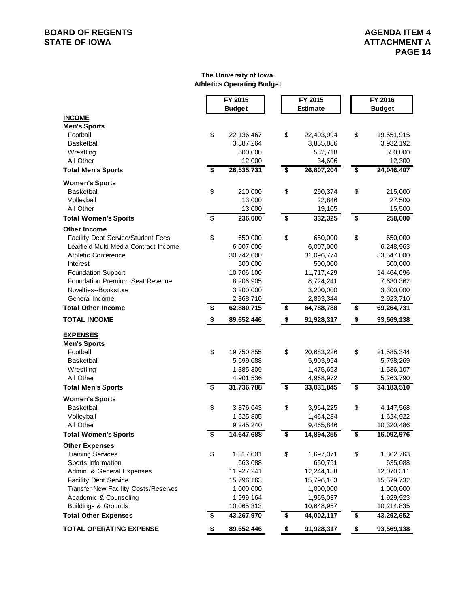# **BOARD OF REGENTS**<br> **BOARD OF REGENTS**<br> **STATE OF IOWA**<br> **ATTACHMENT A**

#### **The University of Iowa Athletics Operating Budget**

|                                           | FY 2015                                |               | FY 2015                              |                 | FY 2016            |
|-------------------------------------------|----------------------------------------|---------------|--------------------------------------|-----------------|--------------------|
|                                           |                                        | <b>Budget</b> |                                      | <b>Estimate</b> | <b>Budget</b>      |
| <b>INCOME</b>                             |                                        |               |                                      |                 |                    |
| <b>Men's Sports</b>                       |                                        |               |                                      |                 |                    |
| Football                                  | \$                                     | 22,136,467    | \$                                   | 22,403,994      | \$<br>19,551,915   |
| <b>Basketball</b>                         |                                        | 3,887,264     |                                      | 3,835,886       | 3,932,192          |
| Wrestling                                 |                                        | 500,000       |                                      | 532,718         | 550,000            |
| All Other                                 |                                        | 12,000        |                                      | 34,606          | 12,300             |
| <b>Total Men's Sports</b>                 | \$                                     | 26,535,731    | \$                                   | 26,807,204      | \$<br>24,046,407   |
| <b>Women's Sports</b>                     |                                        |               |                                      |                 |                    |
| <b>Basketball</b>                         | \$                                     | 210,000       | \$                                   | 290,374         | \$<br>215,000      |
| Volleyball                                |                                        | 13,000        |                                      | 22,846          | 27,500             |
| All Other                                 |                                        | 13,000        |                                      | 19,105          | 15,500             |
| <b>Total Women's Sports</b>               | $\overline{\boldsymbol{\mathfrak{s}}}$ | 236,000       | $\overline{\boldsymbol{\mathsf{s}}}$ | 332,325         | \$<br>258,000      |
| <b>Other Income</b>                       |                                        |               |                                      |                 |                    |
| <b>Facility Debt Service/Student Fees</b> | \$                                     | 650,000       | \$                                   | 650,000         | \$<br>650,000      |
| Learfield Multi Media Contract Income     |                                        | 6,007,000     |                                      | 6,007,000       | 6,248,963          |
| <b>Athletic Conference</b>                |                                        | 30,742,000    |                                      | 31,096,774      | 33,547,000         |
| Interest                                  |                                        | 500,000       |                                      | 500,000         | 500,000            |
| <b>Foundation Support</b>                 |                                        | 10,706,100    |                                      | 11,717,429      | 14,464,696         |
| Foundation Premium Seat Revenue           |                                        | 8,206,905     |                                      | 8,724,241       | 7,630,362          |
| Novelties--Bookstore                      |                                        | 3,200,000     |                                      | 3,200,000       | 3,300,000          |
| General Income                            |                                        | 2,868,710     |                                      | 2,893,344       | 2,923,710          |
| <b>Total Other Income</b>                 | \$                                     | 62,880,715    | \$                                   | 64,788,788      | \$<br>69,264,731   |
| <b>TOTAL INCOME</b>                       | \$                                     | 89,652,446    | \$                                   | 91,928,317      | \$<br>93,569,138   |
| <b>EXPENSES</b>                           |                                        |               |                                      |                 |                    |
| <b>Men's Sports</b>                       |                                        |               |                                      |                 |                    |
| Football                                  | \$                                     | 19,750,855    | \$                                   | 20,683,226      | \$<br>21,585,344   |
| <b>Basketball</b>                         |                                        | 5,699,088     |                                      | 5,903,954       | 5,798,269          |
| Wrestling                                 |                                        | 1,385,309     |                                      | 1,475,693       | 1,536,107          |
| All Other                                 |                                        | 4,901,536     |                                      | 4,968,972       | 5,263,790          |
| <b>Total Men's Sports</b>                 | \$                                     | 31,736,788    | \$                                   | 33,031,845      | \$<br>34, 183, 510 |
| <b>Women's Sports</b>                     |                                        |               |                                      |                 |                    |
| <b>Basketball</b>                         | \$                                     | 3,876,643     | \$                                   | 3,964,225       | \$<br>4,147,568    |
| Volleyball                                |                                        | 1,525,805     |                                      | 1,464,284       | 1,624,922          |
| All Other                                 |                                        | 9,245,240     |                                      | 9,465,846       | 10,320,486         |
| <b>Total Women's Sports</b>               | \$                                     | 14,647,688    | \$                                   | 14,894,355      | \$<br>16,092,976   |
| <b>Other Expenses</b>                     |                                        |               |                                      |                 |                    |
| <b>Training Services</b>                  | \$                                     | 1,817,001     | \$                                   | 1,697,071       | \$<br>1,862,763    |
| Sports Information                        |                                        | 663,088       |                                      | 650,751         | 635,088            |
| Admin. & General Expenses                 |                                        | 11,927,241    |                                      | 12,244,138      | 12,070,311         |
| <b>Facility Debt Service</b>              |                                        | 15,796,163    |                                      | 15,796,163      | 15,579,732         |
| Transfer-New Facility Costs/Reserves      |                                        | 1,000,000     |                                      | 1,000,000       | 1,000,000          |
| Academic & Counseling                     |                                        | 1,999,164     |                                      | 1,965,037       | 1,929,923          |
| <b>Buildings &amp; Grounds</b>            |                                        | 10,065,313    |                                      | 10,648,957      | 10,214,835         |
| <b>Total Other Expenses</b>               | \$                                     | 43,267,970    | \$                                   | 44,002,117      | \$<br>43,292,652   |
| <b>TOTAL OPERATING EXPENSE</b>            | \$                                     | 89,652,446    | \$                                   | 91,928,317      | \$<br>93,569,138   |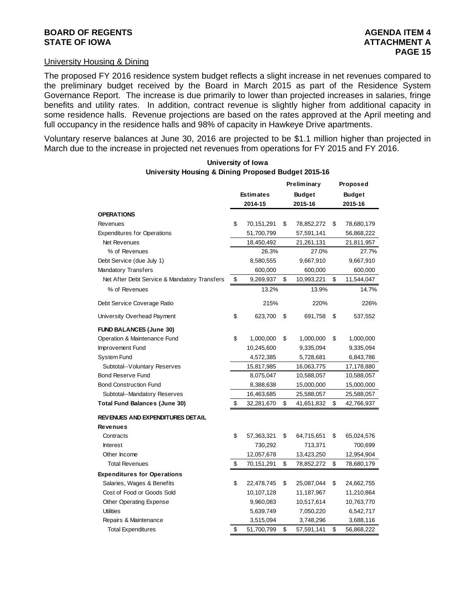#### University Housing & Dining

The proposed FY 2016 residence system budget reflects a slight increase in net revenues compared to the preliminary budget received by the Board in March 2015 as part of the Residence System Governance Report. The increase is due primarily to lower than projected increases in salaries, fringe benefits and utility rates. In addition, contract revenue is slightly higher from additional capacity in some residence halls. Revenue projections are based on the rates approved at the April meeting and full occupancy in the residence halls and 98% of capacity in Hawkeye Drive apartments.

Voluntary reserve balances at June 30, 2016 are projected to be \$1.1 million higher than projected in March due to the increase in projected net revenues from operations for FY 2015 and FY 2016.

| oniversity nousing a Dining Froposed Budget 2015-10 |                  |            |               |             |          |               |
|-----------------------------------------------------|------------------|------------|---------------|-------------|----------|---------------|
|                                                     |                  |            |               | Preliminary | Proposed |               |
|                                                     | <b>Estimates</b> |            | <b>Budget</b> |             |          | <b>Budget</b> |
|                                                     |                  | 2014-15    |               | 2015-16     |          | 2015-16       |
| OPERATIONS                                          |                  |            |               |             |          |               |
| Revenues                                            | \$               | 70,151,291 | \$            | 78,852,272  | \$       | 78,680,179    |
| <b>Expenditures for Operations</b>                  |                  | 51,700,799 |               | 57,591,141  |          | 56,868,222    |
| Net Revenues                                        |                  | 18,450,492 |               | 21,261,131  |          | 21,811,957    |
| % of Revenues                                       |                  | 26.3%      |               | 27.0%       |          | 27.7%         |
| Debt Service (due July 1)                           |                  | 8,580,555  |               | 9,667,910   |          | 9,667,910     |
| <b>Mandatory Transfers</b>                          |                  | 600,000    |               | 600,000     |          | 600,000       |
| Net After Debt Service & Mandatory Transfers        | \$               | 9,269,937  | \$            | 10,993,221  | \$       | 11,544,047    |
| % of Revenues                                       |                  | 13.2%      |               | 13.9%       |          | 14.7%         |
| Debt Service Coverage Ratio                         |                  | 215%       |               | 220%        |          | 226%          |
| University Overhead Payment                         | \$               | 623,700    | \$            | 691,758     | \$       | 537,552       |
| <b>FUND BALANCES (June 30)</b>                      |                  |            |               |             |          |               |
| Operation & Maintenance Fund                        | \$               | 1,000,000  | \$            | 1,000,000   | \$       | 1,000,000     |
| Improvement Fund                                    |                  | 10,245,600 |               | 9,335,094   |          | 9,335,094     |
| System Fund                                         |                  | 4,572,385  |               | 5,728,681   |          | 6,843,786     |
| Subtotal--Voluntary Reserves                        |                  | 15,817,985 |               | 16,063,775  |          | 17,178,880    |
| <b>Bond Reserve Fund</b>                            |                  | 8,075,047  |               | 10,588,057  |          | 10,588,057    |
| Bond Construction Fund                              |                  | 8,388,638  |               | 15,000,000  |          | 15,000,000    |
| Subtotal--Mandatory Reserves                        |                  | 16,463,685 |               | 25,588,057  |          | 25,588,057    |
| Total Fund Balances (June 30)                       | \$               | 32,281,670 | \$            | 41,651,832  | \$       | 42,766,937    |
| REVENUES AND EXPENDITURES DETAIL                    |                  |            |               |             |          |               |
| Revenues                                            |                  |            |               |             |          |               |
| Contracts                                           | \$               | 57,363,321 | \$            | 64,715,651  | \$       | 65,024,576    |
| <b>Interest</b>                                     |                  | 730,292    |               | 713,371     |          | 700,699       |
| Other Income                                        |                  | 12,057,678 |               | 13,423,250  |          | 12,954,904    |
| <b>Total Revenues</b>                               | \$               | 70,151,291 | \$            | 78,852,272  | \$       | 78,680,179    |
| <b>Expenditures for Operations</b>                  |                  |            |               |             |          |               |
| Salaries, Wages & Benefits                          | \$               | 22,478,745 | \$            | 25,087,044  | \$       | 24,662,755    |
| Cost of Food or Goods Sold                          |                  | 10,107,128 |               | 11,187,967  |          | 11,210,864    |
| <b>Other Operating Expense</b>                      |                  | 9,960,083  |               | 10,517,614  |          | 10,763,770    |
| <b>Utilities</b>                                    |                  | 5,639,749  |               | 7,050,220   |          | 6,542,717     |
| Repairs & Maintenance                               |                  | 3,515,094  |               | 3,748,296   |          | 3,688,116     |
| <b>Total Expenditures</b>                           | \$               | 51,700,799 | \$            | 57,591,141  | \$       | 56,868,222    |

#### **University of Iowa University Housing & Dining Proposed Budget 2015-16**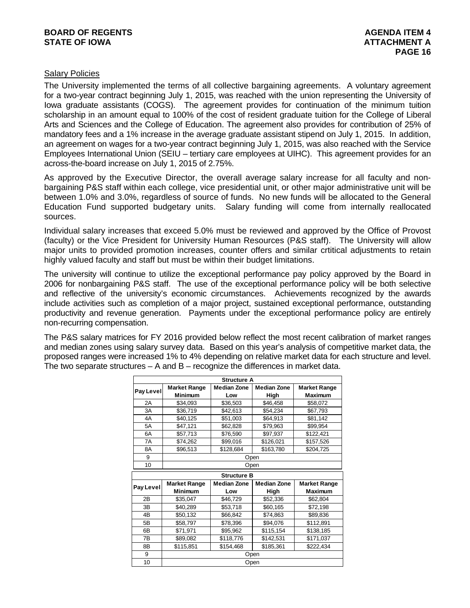### **BOARD OF REGENTS AGENUS AGENERAL SERVICES** AGENDA ITEM 4 **STATE OF IOWA ATTACHMENT A**

### Salary Policies

The University implemented the terms of all collective bargaining agreements. A voluntary agreement for a two-year contract beginning July 1, 2015, was reached with the union representing the University of Iowa graduate assistants (COGS). The agreement provides for continuation of the minimum tuition scholarship in an amount equal to 100% of the cost of resident graduate tuition for the College of Liberal Arts and Sciences and the College of Education. The agreement also provides for contribution of 25% of mandatory fees and a 1% increase in the average graduate assistant stipend on July 1, 2015. In addition, an agreement on wages for a two-year contract beginning July 1, 2015, was also reached with the Service Employees International Union (SEIU – tertiary care employees at UIHC). This agreement provides for an across-the-board increase on July 1, 2015 of 2.75%.

As approved by the Executive Director, the overall average salary increase for all faculty and nonbargaining P&S staff within each college, vice presidential unit, or other major administrative unit will be between 1.0% and 3.0%, regardless of source of funds. No new funds will be allocated to the General Education Fund supported budgetary units. Salary funding will come from internally reallocated sources.

Individual salary increases that exceed 5.0% must be reviewed and approved by the Office of Provost (faculty) or the Vice President for University Human Resources (P&S staff). The University will allow major units to provided promotion increases, counter offers and similar crtitical adjustments to retain highly valued faculty and staff but must be within their budget limitations.

The university will continue to utilize the exceptional performance pay policy approved by the Board in 2006 for nonbargaining P&S staff. The use of the exceptional performance policy will be both selective and reflective of the university's economic circumstances. Achievements recognized by the awards include activities such as completion of a major project, sustained exceptional performance, outstanding productivity and revenue generation. Payments under the exceptional performance policy are entirely non-recurring compensation.

The P&S salary matrices for FY 2016 provided below reflect the most recent calibration of market ranges and median zones using salary survey data. Based on this year's analysis of competitive market data, the proposed ranges were increased 1% to 4% depending on relative market data for each structure and level. The two separate structures – A and B – recognize the differences in market data.

|           |                     | <b>Structure A</b> |                    |                     |  |
|-----------|---------------------|--------------------|--------------------|---------------------|--|
|           | <b>Market Range</b> | Median Zone        | <b>Median Zone</b> | <b>Market Range</b> |  |
| Pay Level | <b>Minimum</b>      | Low                | High               | <b>Maximum</b>      |  |
| 2A        | \$34,093            | \$36,503           | \$46,458           | \$58,072            |  |
| 3A        | \$36,719            | \$42,613           | \$54,234           | \$67,793            |  |
| 4A        | \$40,125            | \$51,003           | \$64,913           | \$81,142            |  |
| 5A        | \$47,121            | \$62,828           | \$79,963           | \$99,954            |  |
| 6A        | \$57,713            | \$76,590           | \$97,937           | \$122,421           |  |
| 7A        | \$74,262            | \$99,016           | \$126,021          | \$157,526           |  |
| 8A        | \$96,513            | \$128,684          | \$163,780          | \$204,725           |  |
| 9         |                     |                    | Open               |                     |  |
| 10        |                     |                    | Open               |                     |  |
|           |                     | <b>Structure B</b> |                    |                     |  |
|           | <b>Market Range</b> | <b>Median Zone</b> | <b>Median Zone</b> | <b>Market Range</b> |  |
| Pay Level | <b>Minimum</b>      | Low                | High               | <b>Maximum</b>      |  |
| 2B        | \$35,047            | \$46,729           | \$52,336           | \$62,804            |  |
| 3B        | \$40,289            | \$53,718           | \$60,165           | \$72,198            |  |
| 4B        | \$50,132            | \$66,842           | \$74,863           | \$89,836            |  |
| 5B        | \$58,797            | \$78,396           | \$94,076           | \$112,891           |  |
| 6B        | \$71,971            | \$95,962           | \$115,154          | \$138,185           |  |
| 7B        | \$89,082            | \$118,776          | \$142,531          | \$171,037           |  |
| 8Β        | \$115,851           | \$154,468          | \$185,361          | \$222,434           |  |
| 9         | Open                |                    |                    |                     |  |
|           |                     |                    |                    |                     |  |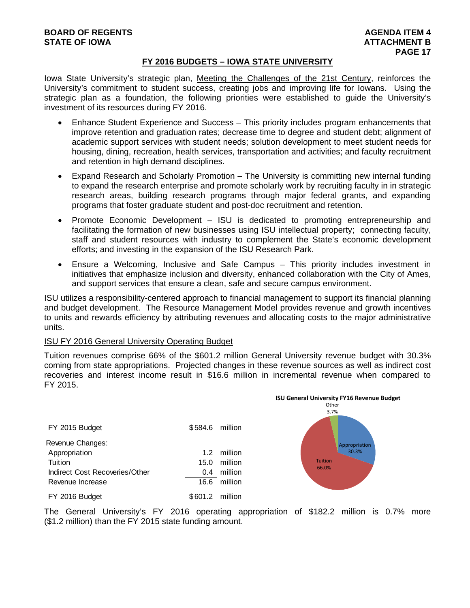#### **FY 2016 BUDGETS – IOWA STATE UNIVERSITY**

Iowa State University's strategic plan, Meeting the Challenges of the 21st Century, reinforces the University's commitment to student success, creating jobs and improving life for Iowans. Using the strategic plan as a foundation, the following priorities were established to guide the University's investment of its resources during FY 2016.

- Enhance Student Experience and Success This priority includes program enhancements that improve retention and graduation rates; decrease time to degree and student debt; alignment of academic support services with student needs; solution development to meet student needs for housing, dining, recreation, health services, transportation and activities; and faculty recruitment and retention in high demand disciplines.
- Expand Research and Scholarly Promotion The University is committing new internal funding to expand the research enterprise and promote scholarly work by recruiting faculty in in strategic research areas, building research programs through major federal grants, and expanding programs that foster graduate student and post-doc recruitment and retention.
- Promote Economic Development ISU is dedicated to promoting entrepreneurship and facilitating the formation of new businesses using ISU intellectual property; connecting faculty, staff and student resources with industry to complement the State's economic development efforts; and investing in the expansion of the ISU Research Park.
- Ensure a Welcoming, Inclusive and Safe Campus This priority includes investment in initiatives that emphasize inclusion and diversity, enhanced collaboration with the City of Ames, and support services that ensure a clean, safe and secure campus environment.

ISU utilizes a responsibility-centered approach to financial management to support its financial planning and budget development. The Resource Management Model provides revenue and growth incentives to units and rewards efficiency by attributing revenues and allocating costs to the major administrative units.

#### ISU FY 2016 General University Operating Budget

Tuition revenues comprise 66% of the \$601.2 million General University revenue budget with 30.3% coming from state appropriations. Projected changes in these revenue sources as well as indirect cost recoveries and interest income result in \$16.6 million in incremental revenue when compared to FY 2015.

**ISU General University FY16 Revenue Budget**

|                                |         |         | <b>ISU General University FY16 Revenue Budget</b> |
|--------------------------------|---------|---------|---------------------------------------------------|
|                                |         |         | Other                                             |
|                                |         |         | 3.7%                                              |
| FY 2015 Budget                 | \$584.6 | million |                                                   |
| Revenue Changes:               |         |         | Appropriation                                     |
| Appropriation                  | 1.2     | million | 30.3%                                             |
| Tuition                        | 15.0    | million | <b>Tuition</b>                                    |
| Indirect Cost Recoveries/Other | 0.4     | million | 66.0%                                             |
| Revenue Increase               | 16.6    | million |                                                   |
| FY 2016 Budget                 | \$601.2 | million |                                                   |

The General University's FY 2016 operating appropriation of \$182.2 million is 0.7% more (\$1.2 million) than the FY 2015 state funding amount.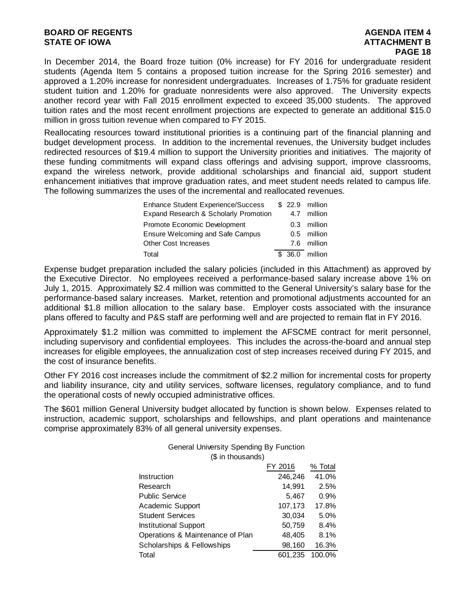### **BOARD OF REGENTS AGENTS** AGENDA ITEM 4 **STATE OF IOWA** AND **BULGARY ATTACHMENT B**

In December 2014, the Board froze tuition (0% increase) for FY 2016 for undergraduate resident students (Agenda Item 5 contains a proposed tuition increase for the Spring 2016 semester) and approved a 1.20% increase for nonresident undergraduates. Increases of 1.75% for graduate resident student tuition and 1.20% for graduate nonresidents were also approved. The University expects another record year with Fall 2015 enrollment expected to exceed 35,000 students. The approved tuition rates and the most recent enrollment projections are expected to generate an additional \$15.0 million in gross tuition revenue when compared to FY 2015.

Reallocating resources toward institutional priorities is a continuing part of the financial planning and budget development process. In addition to the incremental revenues, the University budget includes redirected resources of \$19.4 million to support the University priorities and initiatives. The majority of these funding commitments will expand class offerings and advising support, improve classrooms, expand the wireless network, provide additional scholarships and financial aid, support student enhancement initiatives that improve graduation rates, and meet student needs related to campus life. The following summarizes the uses of the incremental and reallocated revenues.

| <b>Enhance Student Experience/Success</b> |  | \$ 22.9 million |
|-------------------------------------------|--|-----------------|
| Expand Research & Scholarly Promotion     |  | 4.7 million     |
| Promote Economic Development              |  | 0.3 million     |
| <b>Ensure Welcoming and Safe Campus</b>   |  | 0.5 million     |
| <b>Other Cost Increases</b>               |  | 7.6 million     |
| Total                                     |  | \$ 36.0 million |

Expense budget preparation included the salary policies (included in this Attachment) as approved by the Executive Director. No employees received a performance-based salary increase above 1% on July 1, 2015. Approximately \$2.4 million was committed to the General University's salary base for the performance-based salary increases. Market, retention and promotional adjustments accounted for an additional \$1.8 million allocation to the salary base. Employer costs associated with the insurance plans offered to faculty and P&S staff are performing well and are projected to remain flat in FY 2016.

Approximately \$1.2 million was committed to implement the AFSCME contract for merit personnel, including supervisory and confidential employees. This includes the across-the-board and annual step increases for eligible employees, the annualization cost of step increases received during FY 2015, and the cost of insurance benefits.

Other FY 2016 cost increases include the commitment of \$2.2 million for incremental costs for property and liability insurance, city and utility services, software licenses, regulatory compliance, and to fund the operational costs of newly occupied administrative offices.

The \$601 million General University budget allocated by function is shown below. Expenses related to instruction, academic support, scholarships and fellowships, and plant operations and maintenance comprise approximately 83% of all general university expenses.

#### General University Spending By Function (\$ in thousands)

|                                  | FY 2016 | % Total |
|----------------------------------|---------|---------|
| Instruction                      | 246,246 | 41.0%   |
| Research                         | 14,991  | 2.5%    |
| <b>Public Service</b>            | 5.467   | 0.9%    |
| Academic Support                 | 107,173 | 17.8%   |
| <b>Student Services</b>          | 30,034  | 5.0%    |
| <b>Institutional Support</b>     | 50,759  | 8.4%    |
| Operations & Maintenance of Plan | 48.405  | 8.1%    |
| Scholarships & Fellowships       | 98,160  | 16.3%   |
| Total                            | 601,235 | 100.0%  |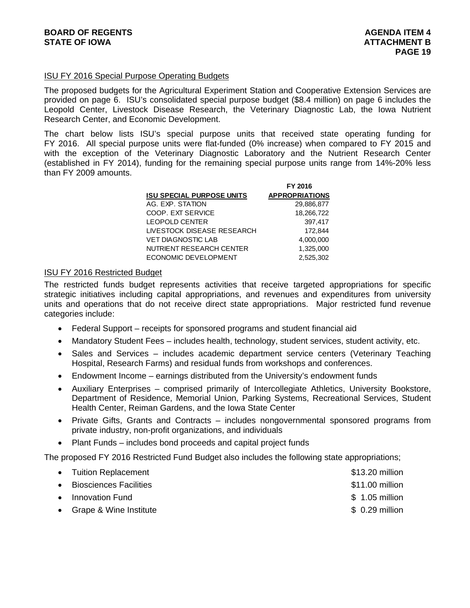### ISU FY 2016 Special Purpose Operating Budgets

The proposed budgets for the Agricultural Experiment Station and Cooperative Extension Services are provided on page 6. ISU's consolidated special purpose budget (\$8.4 million) on page 6 includes the Leopold Center, Livestock Disease Research, the Veterinary Diagnostic Lab, the Iowa Nutrient Research Center, and Economic Development.

The chart below lists ISU's special purpose units that received state operating funding for FY 2016. All special purpose units were flat-funded (0% increase) when compared to FY 2015 and with the exception of the Veterinary Diagnostic Laboratory and the Nutrient Research Center (established in FY 2014), funding for the remaining special purpose units range from 14%-20% less than FY 2009 amounts.

**FY 2016**

|                                  | FY ZUI 6              |
|----------------------------------|-----------------------|
| <b>ISU SPECIAL PURPOSE UNITS</b> | <b>APPROPRIATIONS</b> |
| AG. EXP. STATION                 | 29,886,877            |
| COOP. EXT SERVICE                | 18,266,722            |
| <b>LEOPOLD CENTER</b>            | 397.417               |
| LIVESTOCK DISEASE RESEARCH       | 172.844               |
| <b>VET DIAGNOSTIC LAB</b>        | 4,000,000             |
| NUTRIENT RESEARCH CENTER         | 1,325,000             |
| ECONOMIC DEVELOPMENT             | 2.525.302             |

#### ISU FY 2016 Restricted Budget

The restricted funds budget represents activities that receive targeted appropriations for specific strategic initiatives including capital appropriations, and revenues and expenditures from university units and operations that do not receive direct state appropriations. Major restricted fund revenue categories include:

- Federal Support receipts for sponsored programs and student financial aid
- Mandatory Student Fees includes health, technology, student services, student activity, etc.
- Sales and Services includes academic department service centers (Veterinary Teaching Hospital, Research Farms) and residual funds from workshops and conferences.
- Endowment Income earnings distributed from the University's endowment funds
- Auxiliary Enterprises comprised primarily of Intercollegiate Athletics, University Bookstore, Department of Residence, Memorial Union, Parking Systems, Recreational Services, Student Health Center, Reiman Gardens, and the Iowa State Center
- Private Gifts, Grants and Contracts includes nongovernmental sponsored programs from private industry, non-profit organizations, and individuals
- Plant Funds includes bond proceeds and capital project funds

The proposed FY 2016 Restricted Fund Budget also includes the following state appropriations;

| • Tuition Replacement    | \$13.20 million |
|--------------------------|-----------------|
| • Biosciences Facilities | \$11.00 million |
| • Innovation Fund        | $$1.05$ million |
| • Grape & Wine Institute | $$0.29$ million |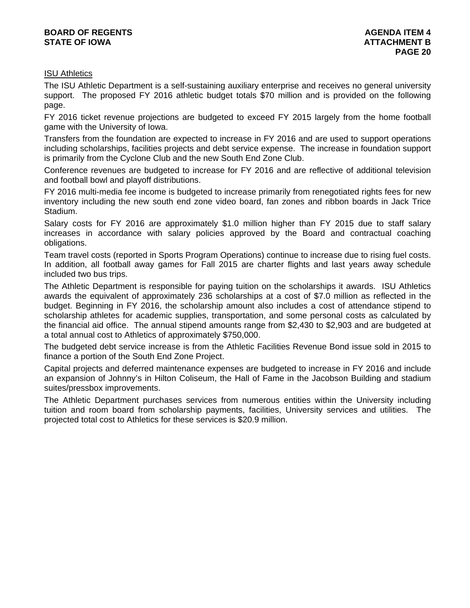# ISU Athletics

The ISU Athletic Department is a self-sustaining auxiliary enterprise and receives no general university support. The proposed FY 2016 athletic budget totals \$70 million and is provided on the following page.

FY 2016 ticket revenue projections are budgeted to exceed FY 2015 largely from the home football game with the University of Iowa.

Transfers from the foundation are expected to increase in FY 2016 and are used to support operations including scholarships, facilities projects and debt service expense. The increase in foundation support is primarily from the Cyclone Club and the new South End Zone Club.

Conference revenues are budgeted to increase for FY 2016 and are reflective of additional television and football bowl and playoff distributions.

FY 2016 multi-media fee income is budgeted to increase primarily from renegotiated rights fees for new inventory including the new south end zone video board, fan zones and ribbon boards in Jack Trice Stadium.

Salary costs for FY 2016 are approximately \$1.0 million higher than FY 2015 due to staff salary increases in accordance with salary policies approved by the Board and contractual coaching obligations.

Team travel costs (reported in Sports Program Operations) continue to increase due to rising fuel costs. In addition, all football away games for Fall 2015 are charter flights and last years away schedule included two bus trips.

The Athletic Department is responsible for paying tuition on the scholarships it awards. ISU Athletics awards the equivalent of approximately 236 scholarships at a cost of \$7.0 million as reflected in the budget. Beginning in FY 2016, the scholarship amount also includes a cost of attendance stipend to scholarship athletes for academic supplies, transportation, and some personal costs as calculated by the financial aid office. The annual stipend amounts range from \$2,430 to \$2,903 and are budgeted at a total annual cost to Athletics of approximately \$750,000.

The budgeted debt service increase is from the Athletic Facilities Revenue Bond issue sold in 2015 to finance a portion of the South End Zone Project.

Capital projects and deferred maintenance expenses are budgeted to increase in FY 2016 and include an expansion of Johnny's in Hilton Coliseum, the Hall of Fame in the Jacobson Building and stadium suites/pressbox improvements.

The Athletic Department purchases services from numerous entities within the University including tuition and room board from scholarship payments, facilities, University services and utilities. The projected total cost to Athletics for these services is \$20.9 million.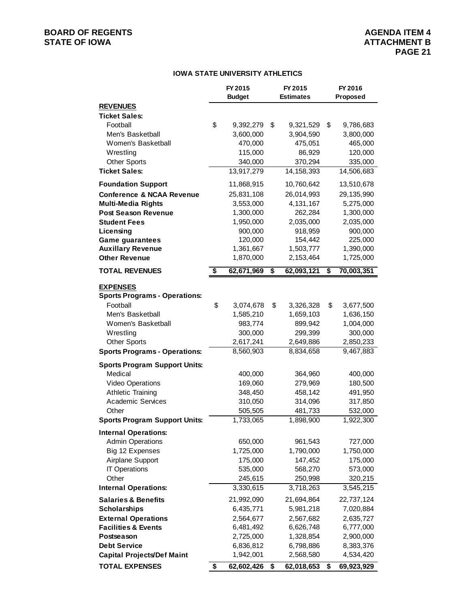# **BOARD OF REGENTS**<br> **BOARD OF REGENTS**<br> **STATE OF IOWA**<br> **ATTACHMENT B**

## **IOWA STATE UNIVERSITY ATHLETICS**

|                                      | FY 2015<br><b>Budget</b> | FY 2015<br><b>Estimates</b> |              | FY 2016<br>Proposed |
|--------------------------------------|--------------------------|-----------------------------|--------------|---------------------|
| <b>REVENUES</b>                      |                          |                             |              |                     |
| <b>Ticket Sales:</b>                 |                          |                             |              |                     |
| Football                             | \$<br>9,392,279          | \$                          | 9,321,529    | \$<br>9,786,683     |
| Men's Basketball                     | 3,600,000                |                             | 3,904,590    | 3,800,000           |
| Women's Basketball                   | 470,000                  |                             | 475,051      | 465,000             |
| Wrestling                            | 115,000                  |                             | 86,929       | 120,000             |
| <b>Other Sports</b>                  | 340,000                  |                             | 370,294      | 335,000             |
| <b>Ticket Sales:</b>                 | 13,917,279               |                             | 14, 158, 393 | 14,506,683          |
| <b>Foundation Support</b>            | 11,868,915               |                             | 10,760,642   | 13,510,678          |
| <b>Conference &amp; NCAA Revenue</b> | 25,831,108               |                             | 26,014,993   | 29, 135, 990        |
| <b>Multi-Media Rights</b>            | 3,553,000                |                             | 4,131,167    | 5,275,000           |
| <b>Post Season Revenue</b>           | 1,300,000                |                             | 262,284      | 1,300,000           |
| <b>Student Fees</b>                  | 1,950,000                |                             | 2,035,000    | 2,035,000           |
| Licensing                            | 900,000                  |                             | 918,959      | 900,000             |
| <b>Game guarantees</b>               | 120,000                  |                             | 154,442      | 225,000             |
| <b>Auxillary Revenue</b>             | 1,361,667                |                             | 1,503,777    | 1,390,000           |
| <b>Other Revenue</b>                 | 1,870,000                |                             | 2,153,464    | 1,725,000           |
| <b>TOTAL REVENUES</b>                | \$<br>62,671,969         | \$                          | 62,093,121   | \$<br>70,003,351    |
| <b>EXPENSES</b>                      |                          |                             |              |                     |
| <b>Sports Programs - Operations:</b> |                          |                             |              |                     |
| Football                             | \$<br>3,074,678          | \$                          | 3,326,328    | \$<br>3,677,500     |
| Men's Basketball                     | 1,585,210                |                             | 1,659,103    | 1,636,150           |
| Women's Basketball                   | 983,774                  |                             | 899,942      | 1,004,000           |
| Wrestling                            | 300,000                  |                             | 299,399      | 300,000             |
| <b>Other Sports</b>                  | 2,617,241                |                             | 2,649,886    | 2,850,233           |
| <b>Sports Programs - Operations:</b> | 8,560,903                |                             | 8,834,658    | 9,467,883           |
| <b>Sports Program Support Units:</b> |                          |                             |              |                     |
| Medical                              | 400,000                  |                             | 364,960      | 400,000             |
| Video Operations                     | 169,060                  |                             | 279,969      | 180,500             |
| <b>Athletic Training</b>             | 348,450                  |                             | 458,142      | 491,950             |
| <b>Academic Services</b>             | 310,050                  |                             | 314,096      | 317,850             |
| Other                                | 505,505                  |                             | 481,733      | 532,000             |
| <b>Sports Program Support Units:</b> | 1,733,065                |                             | 1,898,900    | 1,922,300           |
| <b>Internal Operations:</b>          |                          |                             |              |                     |
| <b>Admin Operations</b>              | 650,000                  |                             | 961,543      | 727,000             |
| Big 12 Expenses                      | 1,725,000                |                             | 1,790,000    | 1,750,000           |
| Airplane Support                     | 175,000                  |                             | 147,452      | 175,000             |
| <b>IT Operations</b>                 | 535,000                  |                             | 568,270      | 573,000             |
| Other                                | 245,615                  |                             | 250,998      | 320,215             |
| <b>Internal Operations:</b>          | 3,330,615                |                             | 3,718,263    | 3,545,215           |
| <b>Salaries &amp; Benefits</b>       | 21,992,090               |                             | 21,694,864   | 22,737,124          |
| <b>Scholarships</b>                  | 6,435,771                |                             | 5,981,218    | 7,020,884           |
| <b>External Operations</b>           | 2,564,677                |                             | 2,567,682    | 2,635,727           |
| <b>Facilities &amp; Events</b>       | 6,481,492                |                             | 6,626,748    | 6,777,000           |
| Postseason                           | 2,725,000                |                             | 1,328,854    | 2,900,000           |
| <b>Debt Service</b>                  | 6,836,812                |                             | 6,798,886    | 8,383,376           |
| <b>Capital Projects/Def Maint</b>    | 1,942,001                |                             | 2,568,580    | 4,534,420           |
| <b>TOTAL EXPENSES</b>                | \$<br>62,602,426         | \$                          | 62,018,653   | \$<br>69,923,929    |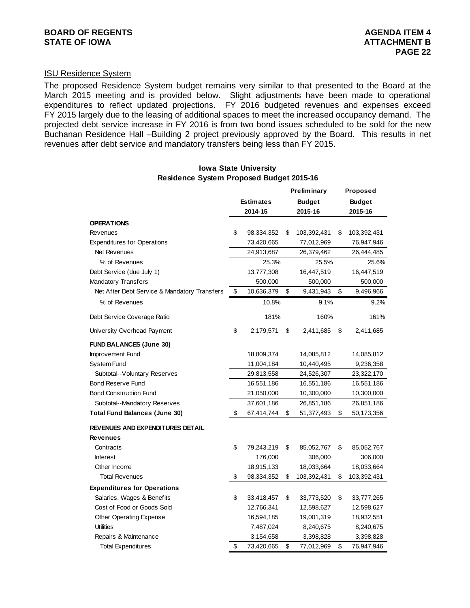# ISU Residence System

The proposed Residence System budget remains very similar to that presented to the Board at the March 2015 meeting and is provided below. Slight adjustments have been made to operational expenditures to reflect updated projections. FY 2016 budgeted revenues and expenses exceed FY 2015 largely due to the leasing of additional spaces to meet the increased occupancy demand. The projected debt service increase in FY 2016 is from two bond issues scheduled to be sold for the new Buchanan Residence Hall –Building 2 project previously approved by the Board. This results in net revenues after debt service and mandatory transfers being less than FY 2015.

|                                              |                  | <b>Preliminary</b> | <b>Proposed</b>   |
|----------------------------------------------|------------------|--------------------|-------------------|
|                                              | <b>Estimates</b> | <b>Budget</b>      | <b>Budget</b>     |
|                                              | 2014-15          | 2015-16            | 2015-16           |
| <b>OPERATIONS</b>                            |                  |                    |                   |
| Revenues                                     | \$<br>98,334,352 | \$<br>103,392,431  | \$<br>103,392,431 |
| <b>Expenditures for Operations</b>           | 73,420,665       | 77,012,969         | 76,947,946        |
| Net Revenues                                 | 24,913,687       | 26,379,462         | 26,444,485        |
| % of Revenues                                | 25.3%            | 25.5%              | 25.6%             |
| Debt Service (due July 1)                    | 13,777,308       | 16,447,519         | 16,447,519        |
| Mandatory Transfers                          | 500,000          | 500,000            | 500,000           |
| Net After Debt Service & Mandatory Transfers | \$<br>10,636,379 | \$<br>9,431,943    | \$<br>9,496,966   |
| % of Revenues                                | 10.8%            | 9.1%               | 9.2%              |
| Debt Service Coverage Ratio                  | 181%             | 160%               | 161%              |
| University Overhead Payment                  | \$<br>2,179,571  | \$<br>2,411,685    | \$<br>2,411,685   |
| <b>FUND BALANCES (June 30)</b>               |                  |                    |                   |
| Improvement Fund                             | 18,809,374       | 14,085,812         | 14,085,812        |
| System Fund                                  | 11,004,184       | 10,440,495         | 9,236,358         |
| Subtotal--Voluntary Reserves                 | 29,813,558       | 24,526,307         | 23,322,170        |
| <b>Bond Reserve Fund</b>                     | 16,551,186       | 16,551,186         | 16,551,186        |
| <b>Bond Construction Fund</b>                | 21,050,000       | 10,300,000         | 10,300,000        |
| Subtotal--Mandatory Reserves                 | 37,601,186       | 26,851,186         | 26,851,186        |
| Total Fund Balances (June 30)                | \$<br>67,414,744 | \$<br>51,377,493   | \$<br>50,173,356  |
| REVENUES AND EXPENDITURES DETAIL             |                  |                    |                   |
| Revenues                                     |                  |                    |                   |
| Contracts                                    | \$<br>79,243,219 | \$<br>85,052,767   | \$<br>85,052,767  |
| <b>Interest</b>                              | 176,000          | 306,000            | 306,000           |
| Other Income                                 | 18,915,133       | 18,033,664         | 18,033,664        |
| <b>Total Revenues</b>                        | \$<br>98,334,352 | \$<br>103,392,431  | \$<br>103,392,431 |
| <b>Expenditures for Operations</b>           |                  |                    |                   |
| Salaries, Wages & Benefits                   | \$<br>33,418,457 | \$<br>33,773,520   | \$<br>33,777,265  |
| Cost of Food or Goods Sold                   | 12,766,341       | 12,598,627         | 12,598,627        |
| Other Operating Expense                      | 16,594,185       | 19,001,319         | 18,932,551        |
| <b>Utilities</b>                             | 7,487,024        | 8,240,675          | 8,240,675         |
| Repairs & Maintenance                        | 3,154,658        | 3,398,828          | 3,398,828         |
| <b>Total Expenditures</b>                    | \$<br>73,420,665 | \$<br>77,012,969   | \$<br>76,947,946  |

#### **Iowa State University Residence System Proposed Budget 2015-16**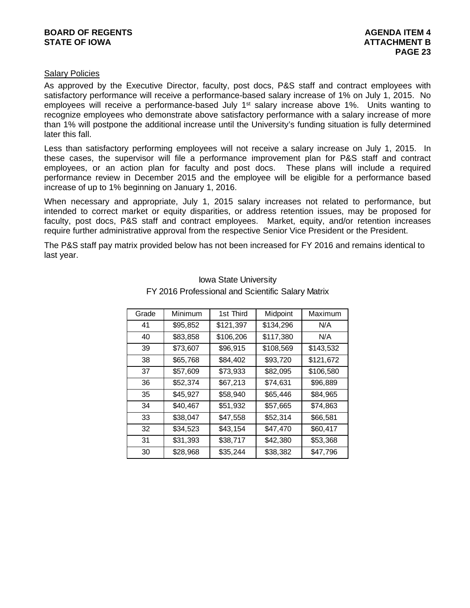### **BOARD OF REGENTS AGENUS AGENERAL SERVICES** AGENDA ITEM 4 **STATE OF IOWA** AND **BULGARY ATTACHMENT B**

### Salary Policies

As approved by the Executive Director, faculty, post docs, P&S staff and contract employees with satisfactory performance will receive a performance-based salary increase of 1% on July 1, 2015. No employees will receive a performance-based July 1<sup>st</sup> salary increase above 1%. Units wanting to recognize employees who demonstrate above satisfactory performance with a salary increase of more than 1% will postpone the additional increase until the University's funding situation is fully determined later this fall.

Less than satisfactory performing employees will not receive a salary increase on July 1, 2015. In these cases, the supervisor will file a performance improvement plan for P&S staff and contract employees, or an action plan for faculty and post docs. These plans will include a required performance review in December 2015 and the employee will be eligible for a performance based increase of up to 1% beginning on January 1, 2016.

When necessary and appropriate, July 1, 2015 salary increases not related to performance, but intended to correct market or equity disparities, or address retention issues, may be proposed for faculty, post docs, P&S staff and contract employees. Market, equity, and/or retention increases require further administrative approval from the respective Senior Vice President or the President.

The P&S staff pay matrix provided below has not been increased for FY 2016 and remains identical to last year.

| Grade | Minimum  | 1st Third | Midpoint  | Maximum   |
|-------|----------|-----------|-----------|-----------|
| 41    | \$95,852 | \$121,397 | \$134,296 | N/A       |
| 40    | \$83,858 | \$106,206 | \$117,380 | N/A       |
| 39    | \$73,607 | \$96,915  | \$108,569 | \$143,532 |
| 38    | \$65,768 | \$84,402  | \$93,720  | \$121,672 |
| 37    | \$57,609 | \$73,933  | \$82,095  | \$106,580 |
| 36    | \$52,374 | \$67,213  | \$74,631  | \$96,889  |
| 35    | \$45,927 | \$58,940  | \$65,446  | \$84,965  |
| 34    | \$40,467 | \$51,932  | \$57,665  | \$74,863  |
| 33    | \$38,047 | \$47,558  | \$52,314  | \$66,581  |
| 32    | \$34,523 | \$43,154  | \$47,470  | \$60,417  |
| 31    | \$31,393 | \$38,717  | \$42,380  | \$53,368  |
| 30    | \$28,968 | \$35,244  | \$38,382  | \$47,796  |

# Iowa State University FY 2016 Professional and Scientific Salary Matrix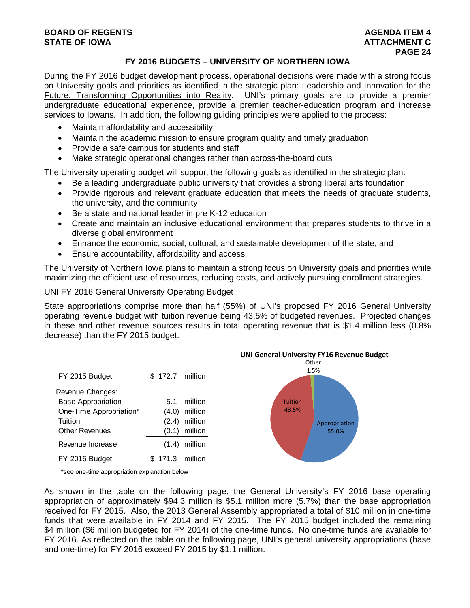#### **BOARD OF REGENTS AGENTS** AGENDA ITEM 4 **STATE OF IOWA ATTACHMENT C**  $\blacksquare$

### **FY 2016 BUDGETS – UNIVERSITY OF NORTHERN IOWA**

During the FY 2016 budget development process, operational decisions were made with a strong focus on University goals and priorities as identified in the strategic plan: Leadership and Innovation for the Future: Transforming Opportunities into Reality. UNI's primary goals are to provide a premier undergraduate educational experience, provide a premier teacher-education program and increase services to Iowans. In addition, the following guiding principles were applied to the process:

- Maintain affordability and accessibility
- Maintain the academic mission to ensure program quality and timely graduation
- Provide a safe campus for students and staff
- Make strategic operational changes rather than across-the-board cuts

The University operating budget will support the following goals as identified in the strategic plan:

- Be a leading undergraduate public university that provides a strong liberal arts foundation
- Provide rigorous and relevant graduate education that meets the needs of graduate students, the university, and the community
- Be a state and national leader in pre K-12 education
- Create and maintain an inclusive educational environment that prepares students to thrive in a diverse global environment
- Enhance the economic, social, cultural, and sustainable development of the state, and
- Ensure accountability, affordability and access.

The University of Northern Iowa plans to maintain a strong focus on University goals and priorities while maximizing the efficient use of resources, reducing costs, and actively pursuing enrollment strategies.

#### UNI FY 2016 General University Operating Budget

State appropriations comprise more than half (55%) of UNI's proposed FY 2016 General University operating revenue budget with tuition revenue being 43.5% of budgeted revenues. Projected changes in these and other revenue sources results in total operating revenue that is \$1.4 million less (0.8% decrease) than the FY 2015 budget.



\*see one-time appropriation explanation below

As shown in the table on the following page, the General University's FY 2016 base operating appropriation of approximately \$94.3 million is \$5.1 million more (5.7%) than the base appropriation received for FY 2015. Also, the 2013 General Assembly appropriated a total of \$10 million in one-time funds that were available in FY 2014 and FY 2015. The FY 2015 budget included the remaining \$4 million (\$6 million budgeted for FY 2014) of the one-time funds. No one-time funds are available for FY 2016. As reflected on the table on the following page, UNI's general university appropriations (base and one-time) for FY 2016 exceed FY 2015 by \$1.1 million.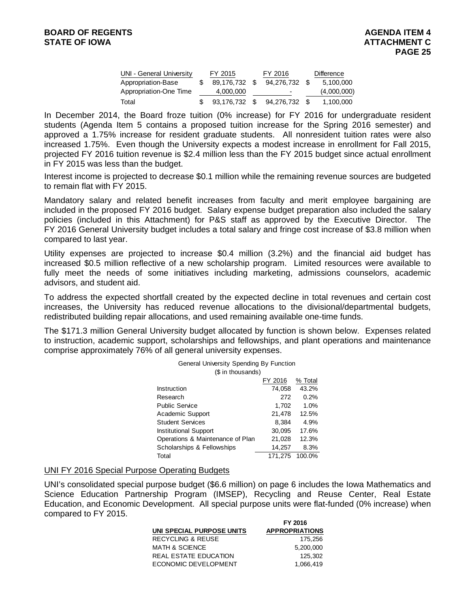| UNI - General University | FY 2015    |      | FY 2016                  | <b>Difference</b> |
|--------------------------|------------|------|--------------------------|-------------------|
| Appropriation-Base       | 89.176.732 | - \$ | 94.276.732 \$            | 5,100,000         |
| Appropriation-One Time   | 4,000,000  |      | $\overline{\phantom{a}}$ | (4,000,000)       |
| Total                    | 93,176,732 | - \$ | 94.276.732               | 1,100,000         |

In December 2014, the Board froze tuition (0% increase) for FY 2016 for undergraduate resident students (Agenda Item 5 contains a proposed tuition increase for the Spring 2016 semester) and approved a 1.75% increase for resident graduate students. All nonresident tuition rates were also increased 1.75%. Even though the University expects a modest increase in enrollment for Fall 2015, projected FY 2016 tuition revenue is \$2.4 million less than the FY 2015 budget since actual enrollment in FY 2015 was less than the budget.

Interest income is projected to decrease \$0.1 million while the remaining revenue sources are budgeted to remain flat with FY 2015.

Mandatory salary and related benefit increases from faculty and merit employee bargaining are included in the proposed FY 2016 budget. Salary expense budget preparation also included the salary policies (included in this Attachment) for P&S staff as approved by the Executive Director. The FY 2016 General University budget includes a total salary and fringe cost increase of \$3.8 million when compared to last year.

Utility expenses are projected to increase \$0.4 million (3.2%) and the financial aid budget has increased \$0.5 million reflective of a new scholarship program. Limited resources were available to fully meet the needs of some initiatives including marketing, admissions counselors, academic advisors, and student aid.

To address the expected shortfall created by the expected decline in total revenues and certain cost increases, the University has reduced revenue allocations to the divisional/departmental budgets, redistributed building repair allocations, and used remaining available one-time funds.

The \$171.3 million General University budget allocated by function is shown below. Expenses related to instruction, academic support, scholarships and fellowships, and plant operations and maintenance comprise approximately 76% of all general university expenses.

| General University Spending By Function<br>(\$ in thousands) |         |         |  |  |  |  |
|--------------------------------------------------------------|---------|---------|--|--|--|--|
|                                                              | FY 2016 | % Total |  |  |  |  |
| Instruction                                                  | 74,058  | 43.2%   |  |  |  |  |
| Research                                                     | 272     | 0.2%    |  |  |  |  |
| <b>Public Service</b>                                        | 1,702   | 1.0%    |  |  |  |  |
| Academic Support                                             | 21,478  | 12.5%   |  |  |  |  |
| <b>Student Services</b>                                      | 8,384   | 4.9%    |  |  |  |  |
| <b>Institutional Support</b>                                 | 30,095  | 17.6%   |  |  |  |  |
| Operations & Maintenance of Plan                             | 21,028  | 12.3%   |  |  |  |  |
| Scholarships & Fellowships                                   | 14.257  | 8.3%    |  |  |  |  |
| Total                                                        | 171.275 | 100.0%  |  |  |  |  |

#### UNI FY 2016 Special Purpose Operating Budgets

UNI's consolidated special purpose budget (\$6.6 million) on page 6 includes the Iowa Mathematics and Science Education Partnership Program (IMSEP), Recycling and Reuse Center, Real Estate Education, and Economic Development. All special purpose units were flat-funded (0% increase) when compared to FY 2015.

|                              | FY 2016               |
|------------------------------|-----------------------|
| UNI SPECIAL PURPOSE UNITS    | <b>APPROPRIATIONS</b> |
| <b>RECYCLING &amp; REUSE</b> | 175.256               |
| MATH & SCIENCE               | 5.200.000             |
| REAL ESTATE EDUCATION        | 125.302               |
| ECONOMIC DEVELOPMENT         | 1.066.419             |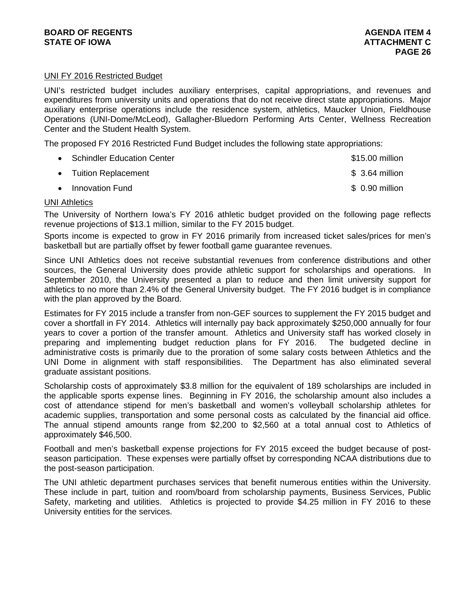### UNI FY 2016 Restricted Budget

UNI's restricted budget includes auxiliary enterprises, capital appropriations, and revenues and expenditures from university units and operations that do not receive direct state appropriations. Major auxiliary enterprise operations include the residence system, athletics, Maucker Union, Fieldhouse Operations (UNI-Dome/McLeod), Gallagher-Bluedorn Performing Arts Center, Wellness Recreation Center and the Student Health System.

The proposed FY 2016 Restricted Fund Budget includes the following state appropriations:

| • Schindler Education Center | \$15.00 million |
|------------------------------|-----------------|
| • Tuition Replacement        | $$3.64$ million |
| • Innovation Fund            | \$ 0.90 million |

#### UNI Athletics

The University of Northern Iowa's FY 2016 athletic budget provided on the following page reflects revenue projections of \$13.1 million, similar to the FY 2015 budget.

Sports income is expected to grow in FY 2016 primarily from increased ticket sales/prices for men's basketball but are partially offset by fewer football game guarantee revenues.

Since UNI Athletics does not receive substantial revenues from conference distributions and other sources, the General University does provide athletic support for scholarships and operations. In September 2010, the University presented a plan to reduce and then limit university support for athletics to no more than 2.4% of the General University budget. The FY 2016 budget is in compliance with the plan approved by the Board.

Estimates for FY 2015 include a transfer from non-GEF sources to supplement the FY 2015 budget and cover a shortfall in FY 2014. Athletics will internally pay back approximately \$250,000 annually for four years to cover a portion of the transfer amount. Athletics and University staff has worked closely in preparing and implementing budget reduction plans for FY 2016. The budgeted decline in administrative costs is primarily due to the proration of some salary costs between Athletics and the UNI Dome in alignment with staff responsibilities. The Department has also eliminated several graduate assistant positions.

Scholarship costs of approximately \$3.8 million for the equivalent of 189 scholarships are included in the applicable sports expense lines. Beginning in FY 2016, the scholarship amount also includes a cost of attendance stipend for men's basketball and women's volleyball scholarship athletes for academic supplies, transportation and some personal costs as calculated by the financial aid office. The annual stipend amounts range from \$2,200 to \$2,560 at a total annual cost to Athletics of approximately \$46,500.

Football and men's basketball expense projections for FY 2015 exceed the budget because of postseason participation. These expenses were partially offset by corresponding NCAA distributions due to the post-season participation.

The UNI athletic department purchases services that benefit numerous entities within the University. These include in part, tuition and room/board from scholarship payments, Business Services, Public Safety, marketing and utilities. Athletics is projected to provide \$4.25 million in FY 2016 to these University entities for the services.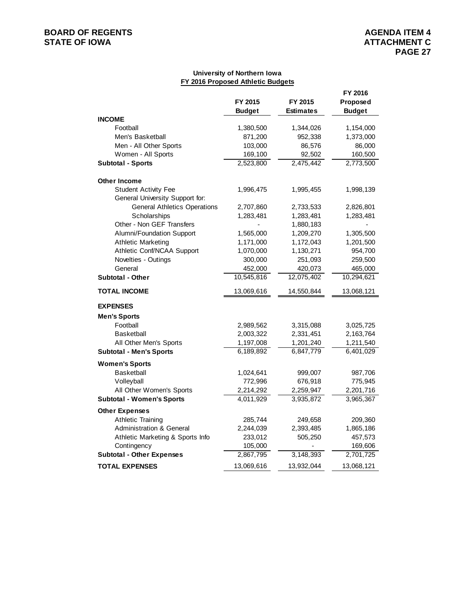# **BOARD OF REGENTS**<br> **BOARD OF REGENTS**<br> **STATE OF IOWA**<br> **ATTACHMENT C**

#### **University of Northern Iowa FY 2016 Proposed Athletic Budgets**

|                                     | FY 2015<br><b>Budget</b> | FY 2015<br><b>Estimates</b> | FY 2016<br><b>Proposed</b><br><b>Budget</b> |
|-------------------------------------|--------------------------|-----------------------------|---------------------------------------------|
| <b>INCOME</b>                       |                          |                             |                                             |
| Football                            | 1,380,500                | 1,344,026                   | 1,154,000                                   |
| Men's Basketball                    | 871,200                  | 952,338                     | 1,373,000                                   |
| Men - All Other Sports              | 103,000                  | 86,576                      | 86,000                                      |
| Women - All Sports                  | 169,100                  | 92,502                      | 160,500                                     |
| <b>Subtotal - Sports</b>            | 2,523,800                | 2,475,442                   | 2,773,500                                   |
| <b>Other Income</b>                 |                          |                             |                                             |
| <b>Student Activity Fee</b>         | 1,996,475                | 1,995,455                   | 1,998,139                                   |
| General University Support for:     |                          |                             |                                             |
| <b>General Athletics Operations</b> | 2,707,860                | 2,733,533                   | 2,826,801                                   |
| Scholarships                        | 1,283,481                | 1,283,481                   | 1,283,481                                   |
| Other - Non GEF Transfers           |                          | 1,880,183                   |                                             |
| Alumni/Foundation Support           | 1,565,000                | 1,209,270                   | 1,305,500                                   |
| <b>Athletic Marketing</b>           | 1,171,000                | 1,172,043                   | 1,201,500                                   |
| Athletic Conf/NCAA Support          | 1,070,000                | 1,130,271                   | 954,700                                     |
| Novelties - Outings                 | 300,000                  | 251,093                     | 259,500                                     |
| General                             | 452,000                  | 420,073                     | 465,000                                     |
| <b>Subtotal - Other</b>             | 10,545,816               | 12,075,402                  | 10,294,621                                  |
| <b>TOTAL INCOME</b>                 | 13,069,616               | 14,550,844                  | 13,068,121                                  |
| <b>EXPENSES</b>                     |                          |                             |                                             |
| <b>Men's Sports</b>                 |                          |                             |                                             |
| Football                            | 2,989,562                | 3,315,088                   | 3,025,725                                   |
| <b>Basketball</b>                   | 2,003,322                | 2,331,451                   | 2,163,764                                   |
| All Other Men's Sports              | 1,197,008                | 1,201,240                   | 1,211,540                                   |
| <b>Subtotal - Men's Sports</b>      | 6,189,892                | 6,847,779                   | 6,401,029                                   |
| <b>Women's Sports</b>               |                          |                             |                                             |
| <b>Basketball</b>                   | 1,024,641                | 999,007                     | 987,706                                     |
| Volleyball                          | 772,996                  | 676,918                     | 775,945                                     |
| All Other Women's Sports            | 2,214,292                | 2,259,947                   | 2,201,716                                   |
| <b>Subtotal - Women's Sports</b>    | 4,011,929                | 3,935,872                   | 3,965,367                                   |
| <b>Other Expenses</b>               |                          |                             |                                             |
| <b>Athletic Training</b>            | 285,744                  | 249,658                     | 209,360                                     |
| <b>Administration &amp; General</b> | 2,244,039                | 2,393,485                   | 1,865,186                                   |
| Athletic Marketing & Sports Info    | 233,012                  | 505,250                     | 457,573                                     |
| Contingency                         | 105,000                  |                             | 169,606                                     |
| <b>Subtotal - Other Expenses</b>    | 2,867,795                | 3,148,393                   | 2,701,725                                   |
| <b>TOTAL EXPENSES</b>               | 13,069,616               | 13,932,044                  | 13,068,121                                  |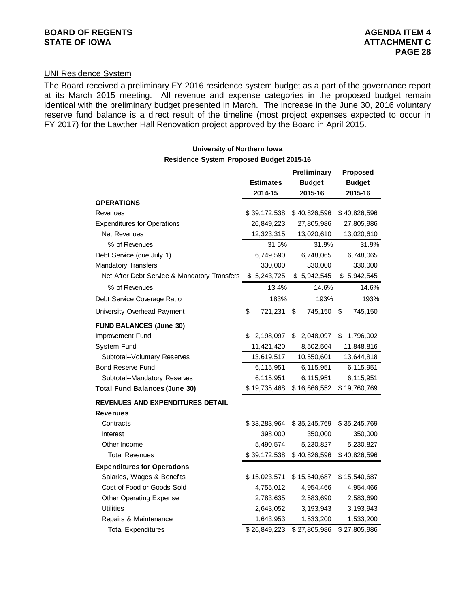# UNI Residence System

The Board received a preliminary FY 2016 residence system budget as a part of the governance report at its March 2015 meeting. All revenue and expense categories in the proposed budget remain identical with the preliminary budget presented in March. The increase in the June 30, 2016 voluntary reserve fund balance is a direct result of the timeline (most project expenses expected to occur in FY 2017) for the Lawther Hall Renovation project approved by the Board in April 2015.

## **University of Northern Iowa**

**Residence System Proposed Budget 2015-16**

|                                              |                  | Preliminary     | Proposed        |
|----------------------------------------------|------------------|-----------------|-----------------|
|                                              | <b>Estimates</b> | <b>Budget</b>   | <b>Budget</b>   |
|                                              | 2014-15          | 2015-16         | 2015-16         |
| <b>OPERATIONS</b>                            |                  |                 |                 |
| Revenues                                     | \$39,172,538     | \$40,826,596    | \$40,826,596    |
| <b>Expenditures for Operations</b>           | 26,849,223       | 27,805,986      | 27,805,986      |
| Net Revenues                                 | 12,323,315       | 13,020,610      | 13,020,610      |
| % of Revenues                                | 31.5%            | 31.9%           | 31.9%           |
| Debt Service (due July 1)                    | 6,749,590        | 6,748,065       | 6,748,065       |
| <b>Mandatory Transfers</b>                   | 330,000          | 330,000         | 330,000         |
| Net After Debt Service & Mandatory Transfers | 5,243,725<br>\$  | \$5,942,545     | \$5,942,545     |
| % of Revenues                                | 13.4%            | 14.6%           | 14.6%           |
| Debt Service Coverage Ratio                  | 183%             | 193%            | 193%            |
| University Overhead Payment                  | \$<br>721,231    | \$<br>745,150   | 745,150<br>\$   |
| <b>FUND BALANCES (June 30)</b>               |                  |                 |                 |
| Improvement Fund                             | \$<br>2,198,097  | 2,048,097<br>\$ | \$<br>1,796,002 |
| System Fund                                  | 11,421,420       | 8,502,504       | 11,848,816      |
| Subtotal--Voluntary Reserves                 | 13,619,517       | 10,550,601      | 13,644,818      |
| <b>Bond Reserve Fund</b>                     | 6,115,951        | 6,115,951       | 6,115,951       |
| Subtotal--Mandatory Reserves                 | 6,115,951        | 6,115,951       | 6,115,951       |
| <b>Total Fund Balances (June 30)</b>         | \$19,735,468     | \$16,666,552    | \$19,760,769    |
| REVENUES AND EXPENDITURES DETAIL             |                  |                 |                 |
| Revenues                                     |                  |                 |                 |
| Contracts                                    | \$33,283,964     | \$35,245,769    | \$35,245,769    |
| Interest                                     | 398,000          | 350,000         | 350,000         |
| Other Income                                 | 5,490,574        | 5,230,827       | 5,230,827       |
| <b>Total Revenues</b>                        | \$39,172,538     | \$40,826,596    | \$40,826,596    |
| <b>Expenditures for Operations</b>           |                  |                 |                 |
| Salaries, Wages & Benefits                   | \$15,023,571     | \$15,540,687    | \$15,540,687    |
| Cost of Food or Goods Sold                   | 4,755,012        | 4,954,466       | 4,954,466       |
| <b>Other Operating Expense</b>               | 2,783,635        | 2,583,690       | 2,583,690       |
| <b>Utilities</b>                             | 2,643,052        | 3,193,943       | 3,193,943       |
| Repairs & Maintenance                        | 1,643,953        | 1,533,200       | 1,533,200       |
| <b>Total Expenditures</b>                    | \$26,849,223     | \$27,805,986    | \$27,805,986    |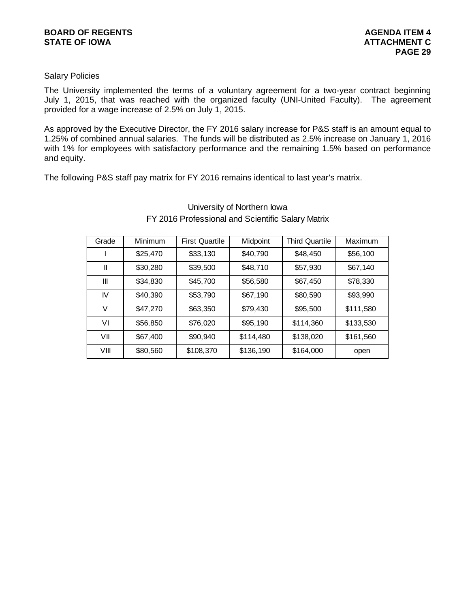### **Salary Policies**

The University implemented the terms of a voluntary agreement for a two-year contract beginning July 1, 2015, that was reached with the organized faculty (UNI-United Faculty). The agreement provided for a wage increase of 2.5% on July 1, 2015.

As approved by the Executive Director, the FY 2016 salary increase for P&S staff is an amount equal to 1.25% of combined annual salaries. The funds will be distributed as 2.5% increase on January 1, 2016 with 1% for employees with satisfactory performance and the remaining 1.5% based on performance and equity.

The following P&S staff pay matrix for FY 2016 remains identical to last year's matrix.

| Grade | Minimum  | <b>First Quartile</b> | Midpoint  | Third Quartile | Maximum   |
|-------|----------|-----------------------|-----------|----------------|-----------|
|       | \$25,470 | \$33,130              | \$40,790  | \$48,450       | \$56,100  |
| Ш     | \$30,280 | \$39,500              | \$48,710  | \$57,930       | \$67,140  |
| Ш     | \$34,830 | \$45,700              | \$56,580  | \$67,450       | \$78,330  |
| IV    | \$40,390 | \$53,790              | \$67,190  | \$80,590       | \$93,990  |
| V     | \$47,270 | \$63,350              | \$79,430  | \$95,500       | \$111,580 |
| V١    | \$56,850 | \$76,020              | \$95,190  | \$114,360      | \$133,530 |
| VII   | \$67,400 | \$90,940              | \$114,480 | \$138,020      | \$161,560 |
| VIII  | \$80,560 | \$108,370             | \$136,190 | \$164,000      | open      |

# University of Northern Iowa FY 2016 Professional and Scientific Salary Matrix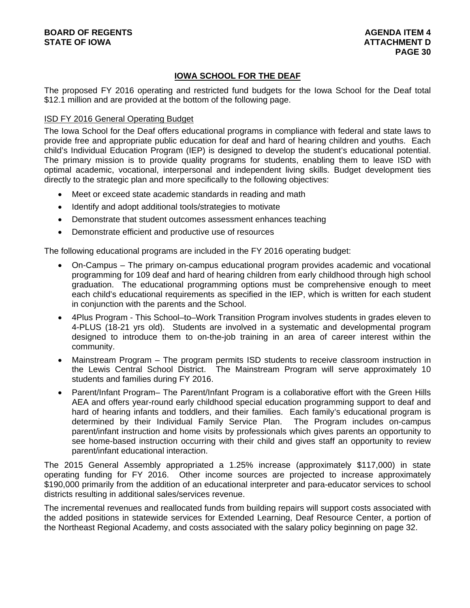# **IOWA SCHOOL FOR THE DEAF**

The proposed FY 2016 operating and restricted fund budgets for the Iowa School for the Deaf total \$12.1 million and are provided at the bottom of the following page.

#### ISD FY 2016 General Operating Budget

The Iowa School for the Deaf offers educational programs in compliance with federal and state laws to provide free and appropriate public education for deaf and hard of hearing children and youths. Each child's Individual Education Program (IEP) is designed to develop the student's educational potential. The primary mission is to provide quality programs for students, enabling them to leave ISD with optimal academic, vocational, interpersonal and independent living skills. Budget development ties directly to the strategic plan and more specifically to the following objectives:

- Meet or exceed state academic standards in reading and math
- Identify and adopt additional tools/strategies to motivate
- Demonstrate that student outcomes assessment enhances teaching
- Demonstrate efficient and productive use of resources

The following educational programs are included in the FY 2016 operating budget:

- On-Campus The primary on-campus educational program provides academic and vocational programming for 109 deaf and hard of hearing children from early childhood through high school graduation. The educational programming options must be comprehensive enough to meet each child's educational requirements as specified in the IEP, which is written for each student in conjunction with the parents and the School.
- 4Plus Program This School–to–Work Transition Program involves students in grades eleven to 4-PLUS (18-21 yrs old). Students are involved in a systematic and developmental program designed to introduce them to on-the-job training in an area of career interest within the community.
- Mainstream Program The program permits ISD students to receive classroom instruction in the Lewis Central School District. The Mainstream Program will serve approximately 10 students and families during FY 2016.
- Parent/Infant Program– The Parent/Infant Program is a collaborative effort with the Green Hills AEA and offers year-round early childhood special education programming support to deaf and hard of hearing infants and toddlers, and their families. Each family's educational program is determined by their Individual Family Service Plan. The Program includes on-campus parent/infant instruction and home visits by professionals which gives parents an opportunity to see home-based instruction occurring with their child and gives staff an opportunity to review parent/infant educational interaction.

The 2015 General Assembly appropriated a 1.25% increase (approximately \$117,000) in state operating funding for FY 2016. Other income sources are projected to increase approximately \$190,000 primarily from the addition of an educational interpreter and para-educator services to school districts resulting in additional sales/services revenue.

The incremental revenues and reallocated funds from building repairs will support costs associated with the added positions in statewide services for Extended Learning, Deaf Resource Center, a portion of the Northeast Regional Academy, and costs associated with the salary policy beginning on page 32.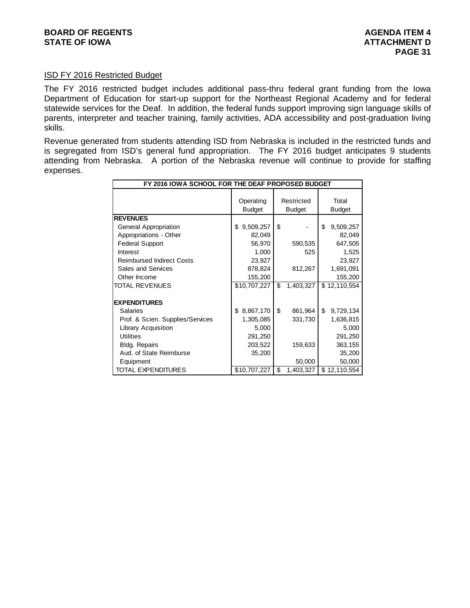#### ISD FY 2016 Restricted Budget

The FY 2016 restricted budget includes additional pass-thru federal grant funding from the Iowa Department of Education for start-up support for the Northeast Regional Academy and for federal statewide services for the Deaf. In addition, the federal funds support improving sign language skills of parents, interpreter and teacher training, family activities, ADA accessibility and post-graduation living skills.

Revenue generated from students attending ISD from Nebraska is included in the restricted funds and is segregated from ISD's general fund appropriation. The FY 2016 budget anticipates 9 students attending from Nebraska. A portion of the Nebraska revenue will continue to provide for staffing expenses.

| FY 2016 IOWA SCHOOL FOR THE DEAF PROPOSED BUDGET |                            |                             |                        |  |  |  |
|--------------------------------------------------|----------------------------|-----------------------------|------------------------|--|--|--|
|                                                  | Operating<br><b>Budget</b> | Restricted<br><b>Budget</b> | Total<br><b>Budget</b> |  |  |  |
| <b>REVENUES</b>                                  |                            |                             |                        |  |  |  |
| General Appropriation                            | \$<br>9,509,257            | \$                          | \$<br>9,509,257        |  |  |  |
| Appropriations - Other                           | 82,049                     |                             | 82,049                 |  |  |  |
| <b>Federal Support</b>                           | 56,970                     | 590,535                     | 647,505                |  |  |  |
| Interest                                         | 1,000                      | 525                         | 1,525                  |  |  |  |
| <b>Reimbursed Indirect Costs</b>                 | 23,927                     |                             | 23,927                 |  |  |  |
| <b>Sales and Services</b>                        | 878,824                    | 812,267                     | 1,691,091              |  |  |  |
| Other Income                                     | 155,200                    |                             | 155,200                |  |  |  |
| <b>TOTAL REVENUES</b>                            | \$10,707,227               | \$<br>1,403,327             | \$12,110,554           |  |  |  |
|                                                  |                            |                             |                        |  |  |  |
| <b>EXPENDITURES</b>                              |                            |                             |                        |  |  |  |
| Salaries                                         | 8,867,170<br>\$            | \$<br>861,964               | \$<br>9,729,134        |  |  |  |
| Prof. & Scien. Supplies/Services                 | 1,305,085                  | 331,730                     | 1,636,815              |  |  |  |
| <b>Library Acquisition</b>                       | 5,000                      |                             | 5,000                  |  |  |  |
| <b>Utilities</b>                                 | 291,250                    |                             | 291,250                |  |  |  |
| <b>Bldg. Repairs</b>                             | 203,522                    | 159,633                     | 363,155                |  |  |  |
| Aud. of State Reimburse                          | 35,200                     |                             | 35,200                 |  |  |  |
| Equipment                                        |                            | 50,000                      | 50,000                 |  |  |  |
| TOTAL EXPENDITURES                               | \$10,707,227               | \$<br>1,403,327             | \$12,110,554           |  |  |  |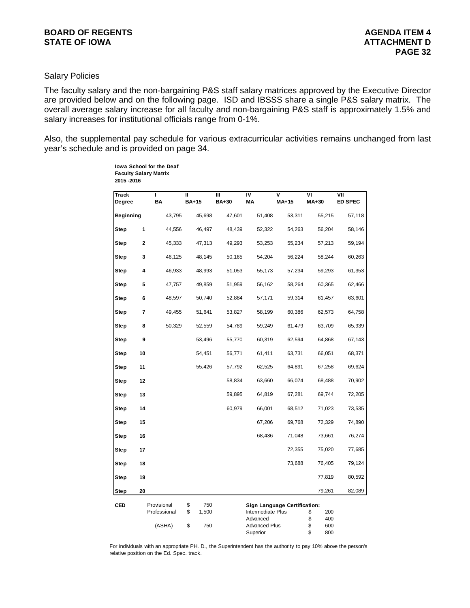## **Salary Policies**

The faculty salary and the non-bargaining P&S staff salary matrices approved by the Executive Director are provided below and on the following page. ISD and IBSSS share a single P&S salary matrix. The overall average salary increase for all faculty and non-bargaining P&S staff is approximately 1.5% and salary increases for institutional officials range from 0-1%.

Also, the supplemental pay schedule for various extracurricular activities remains unchanged from last year's schedule and is provided on page 34.

| <b>Track</b><br>Degree |    | ı<br>BA                     | п<br><b>BA+15</b>        | Ш<br><b>BA+30</b> | IV<br>ΜA                      | V<br>MA+15                          | ٧I<br>MA+30            | VII<br>ED SPEC |
|------------------------|----|-----------------------------|--------------------------|-------------------|-------------------------------|-------------------------------------|------------------------|----------------|
| <b>Beginning</b>       |    | 43,795                      | 45,698                   | 47,601            | 51,408                        | 53,311                              | 55,215                 | 57,118         |
| Step                   | 1  | 44,556                      | 46,497                   | 48,439            | 52,322                        | 54,263                              | 56,204                 | 58,146         |
| Step                   | 2  | 45,333                      | 47,313                   | 49,293            | 53,253                        | 55,234                              | 57,213                 | 59,194         |
| Step                   | 3  | 46,125                      | 48,145                   | 50,165            | 54,204                        | 56,224                              | 58,244                 | 60,263         |
| Step                   | 4  | 46,933                      | 48,993                   | 51,053            | 55,173                        | 57,234                              | 59,293                 | 61,353         |
| Step                   | 5  | 47,757                      | 49,859                   | 51,959            | 56,162                        | 58,264                              | 60,365                 | 62,466         |
| Step                   | 6  | 48,597                      | 50,740                   | 52,884            | 57,171                        | 59,314                              | 61,457                 | 63,601         |
| Step                   | 7  | 49,455                      | 51,641                   | 53,827            | 58,199                        | 60,386                              | 62,573                 | 64,758         |
| Step                   | 8  | 50,329                      | 52,559                   | 54,789            | 59,249                        | 61,479                              | 63,709                 | 65,939         |
| Step                   | 9  |                             | 53,496                   | 55,770            | 60,319                        | 62,594                              | 64,868                 | 67,143         |
| Step                   | 10 |                             | 54,451                   | 56,771            | 61,411                        | 63,731                              | 66,051                 | 68,371         |
| Step                   | 11 |                             | 55,426                   | 57,792            | 62,525                        | 64,891                              | 67,258                 | 69,624         |
| Step                   | 12 |                             |                          | 58,834            | 63,660                        | 66,074                              | 68,488                 | 70,902         |
| Step                   | 13 |                             |                          | 59,895            | 64,819                        | 67,281                              | 69,744                 | 72,205         |
| Step                   | 14 |                             |                          | 60,979            | 66,001                        | 68,512                              | 71,023                 | 73,535         |
| Step                   | 15 |                             |                          |                   | 67,206                        | 69,768                              | 72,329                 | 74,890         |
| Step                   | 16 |                             |                          |                   | 68,436                        | 71,048                              | 73,661                 | 76,274         |
| Step                   | 17 |                             |                          |                   |                               | 72,355                              | 75,020                 | 77,685         |
| Step                   | 18 |                             |                          |                   |                               | 73,688                              | 76,405                 | 79,124         |
| Step                   | 19 |                             |                          |                   |                               |                                     | 77,819                 | 80,592         |
| Step                   | 20 |                             |                          |                   |                               |                                     | 79,261                 | 82,089         |
| CED                    |    | Provisional<br>Professional | \$<br>750<br>\$<br>1,500 |                   | Intermediate Plus<br>Advanced | <b>Sign Language Certification:</b> | 200<br>\$<br>\$<br>400 |                |

**Iowa School for the Deaf Faculty Salary Matrix**

For individuals with an appropriate PH. D., the Superintendent has the authority to pay 10% above the person's relative position on the Ed. Spec. track.

(ASHA) \$ 750 Advanced Plus \$ 600

Superior \$ 800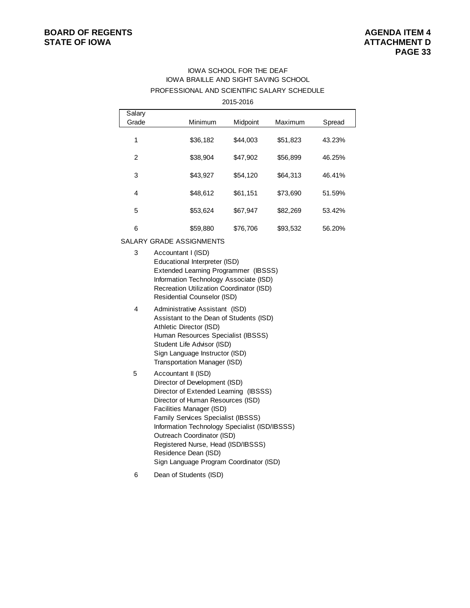### **BOARD OF REGENTS AGENTS** AGENDA ITEM 4 **STATE OF IOWA ATTACHMENT D**

#### IOWA SCHOOL FOR THE DEAF IOWA BRAILLE AND SIGHT SAVING SCHOOL PROFESSIONAL AND SCIENTIFIC SALARY SCHEDULE

| 2015-2016 |
|-----------|
|-----------|

| Salary<br>Grade | Minimum  | Midpoint | Maximum  | Spread |
|-----------------|----------|----------|----------|--------|
| 1               | \$36,182 | \$44,003 | \$51,823 | 43.23% |
| $\mathcal{P}$   | \$38,904 | \$47.902 | \$56,899 | 46.25% |
| 3               | \$43.927 | \$54,120 | \$64.313 | 46.41% |
| 4               | \$48.612 | \$61,151 | \$73.690 | 51.59% |
| 5               | \$53,624 | \$67,947 | \$82,269 | 53.42% |
| 6               | \$59,880 | \$76,706 | \$93,532 | 56.20% |

SALARY GRADE ASSIGNMENTS

- 3 Accountant I (ISD) Educational Interpreter (ISD) Extended Learning Programmer (IBSSS) Information Technology Associate (ISD) Recreation Utilization Coordinator (ISD) Residential Counselor (ISD) 4 Administrative Assistant (ISD)
- Assistant to the Dean of Students (ISD) Athletic Director (ISD) Human Resources Specialist (IBSSS) Student Life Advisor (ISD) Sign Language Instructor (ISD) Transportation Manager (ISD)
- 5 Accountant II (ISD) Director of Development (ISD) Director of Extended Learning (IBSSS) Director of Human Resources (ISD) Facilities Manager (ISD) Family Services Specialist (IBSSS) Information Technology Specialist (ISD/IBSSS) Outreach Coordinator (ISD) Registered Nurse, Head (ISD/IBSSS) Residence Dean (ISD) Sign Language Program Coordinator (ISD)
- 6 Dean of Students (ISD)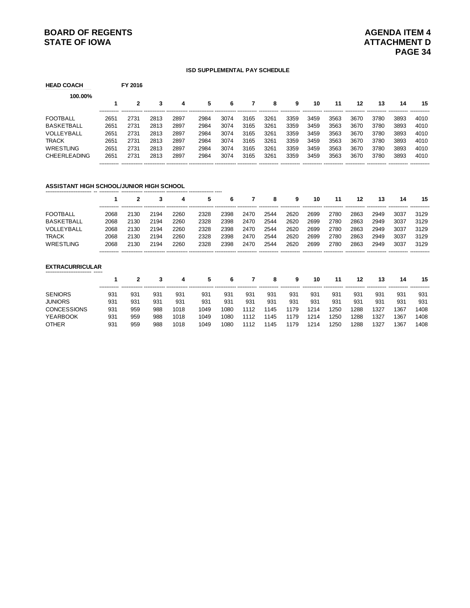# **BOARD OF REGENTS AGENUAL STATE OF IOWA**<br> **BOARD OF IOWA**<br> **BOARD OF IOWA**

#### **ISD SUPPLEMENTAL PAY SCHEDULE**

| <b>HEAD COACH</b>   |                      | FY 2016 |      |      |      |      |      |      |      |      |      |      |      |      |                      |
|---------------------|----------------------|---------|------|------|------|------|------|------|------|------|------|------|------|------|----------------------|
| 100.00%             |                      |         |      |      |      |      |      |      |      |      |      |      |      |      |                      |
|                     |                      | 2       | 3    | 4    | 5    | 6    |      | 8    | 9    | 10   | 11   | 12   | 13   | 14   | 15                   |
| <b>FOOTBALL</b>     | 2651                 | 2731    | 2813 | 2897 | 2984 | 3074 | 3165 | 3261 | 3359 | 3459 | 3563 | 3670 | 3780 | 3893 | ------------<br>4010 |
| <b>BASKETBALL</b>   | 2651                 | 2731    | 2813 | 2897 | 2984 | 3074 | 3165 | 3261 | 3359 | 3459 | 3563 | 3670 | 3780 | 3893 | 4010                 |
| VOLLEYBALL          | 2651                 | 2731    | 2813 | 2897 | 2984 | 3074 | 3165 | 3261 | 3359 | 3459 | 3563 | 3670 | 3780 | 3893 | 4010                 |
| <b>TRACK</b>        | 2651                 | 2731    | 2813 | 2897 | 2984 | 3074 | 3165 | 3261 | 3359 | 3459 | 3563 | 3670 | 3780 | 3893 | 4010                 |
| WRESTLING           | 2651                 | 2731    | 2813 | 2897 | 2984 | 3074 | 3165 | 3261 | 3359 | 3459 | 3563 | 3670 | 3780 | 3893 | 4010                 |
| <b>CHEERLEADING</b> | 2651<br>------------ | 2731    | 2813 | 2897 | 2984 | 3074 | 3165 | 3261 | 3359 | 3459 | 3563 | 3670 | 3780 | 3893 | 4010                 |

#### **ASSISTANT HIGH SCHOOL/JUNIOR HIGH SCHOOL**

|      |      | 3    | 4    | 5.   | 6    |      | 8    | 9    | 10   | 11   | 12   | 13   | 14   | 15                       |
|------|------|------|------|------|------|------|------|------|------|------|------|------|------|--------------------------|
| 2068 | 2130 | 2194 | 2260 | 2328 | 2398 | 2470 | 2544 | 2620 | 2699 | 2780 | 2863 | 2949 | 3037 | 3129                     |
| 2068 | 2130 | 2194 | 2260 | 2328 | 2398 | 2470 | 2544 | 2620 | 2699 | 2780 | 2863 | 2949 | 3037 | 3129                     |
| 2068 | 2130 | 2194 | 2260 | 2328 | 2398 | 2470 | 2544 | 2620 | 2699 | 2780 | 2863 | 2949 | 3037 | 3129                     |
| 2068 | 2130 | 2194 | 2260 | 2328 | 2398 | 2470 | 2544 | 2620 | 2699 | 2780 | 2863 | 2949 | 3037 | 3129                     |
| 2068 | 2130 | 2194 | 2260 | 2328 | 2398 | 2470 | 2544 | 2620 | 2699 | 2780 | 2863 | 2949 | 3037 | 3129                     |
|      |      |      |      |      |      |      |      |      |      |      |      |      |      | ------------ ----------- |

# **EXTRACURRICULAR** -------------------------- -----

| -------------------------- ---- |     |     |     |      |      |      |      |      |      |      |            |      |      |      |      |
|---------------------------------|-----|-----|-----|------|------|------|------|------|------|------|------------|------|------|------|------|
|                                 |     |     |     | 4    | 5.   | 6    |      | 8    | 9    | 10   | 11         | 12   | 13   | 14   | 15   |
| <b>SENIORS</b>                  | 931 | 931 | 931 | 931  | 931  | 931  | 93'  | 931  | 93'  | 931  | 931        | 931  | 931  | 931  | 931  |
| <b>JUNIORS</b>                  | 931 | 931 | 931 | 931  | 931  | 931  | 93'  | 931  | 931  | 931  | 931        | 931  | 931  | 931  | 931  |
| <b>CONCESSIONS</b>              | 931 | 959 | 988 | 1018 | 1049 | 1080 | 1112 | 1145 | 1179 | 1214 | 1250       | 1288 | 1327 | 1367 | 1408 |
| <b>YEARBOOK</b>                 | 931 | 959 | 988 | 1018 | 1049 | 1080 | 1112 | 1145 | 1179 | 1214 | '250       | 1288 | 1327 | 1367 | 1408 |
| OTHER                           | 931 | 959 | 988 | 1018 | 1049 | 1080 | 1112 | 1145 | 1179 | 1214 | <b>250</b> | 1288 | 1327 | 1367 | 1408 |
|                                 |     |     |     |      |      |      |      |      |      |      |            |      |      |      |      |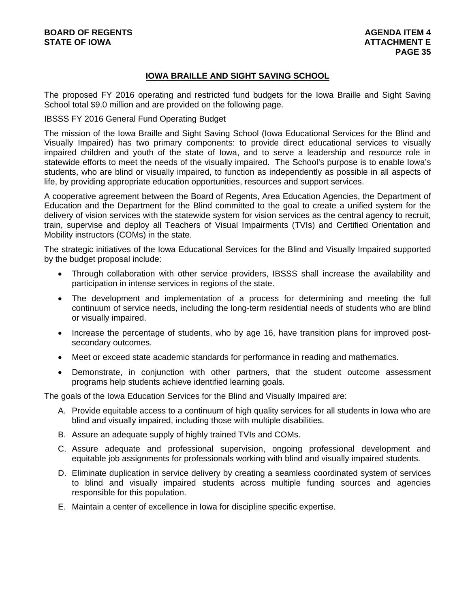# **IOWA BRAILLE AND SIGHT SAVING SCHOOL**

The proposed FY 2016 operating and restricted fund budgets for the Iowa Braille and Sight Saving School total \$9.0 million and are provided on the following page.

#### IBSSS FY 2016 General Fund Operating Budget

The mission of the Iowa Braille and Sight Saving School (Iowa Educational Services for the Blind and Visually Impaired) has two primary components: to provide direct educational services to visually impaired children and youth of the state of Iowa, and to serve a leadership and resource role in statewide efforts to meet the needs of the visually impaired. The School's purpose is to enable Iowa's students, who are blind or visually impaired, to function as independently as possible in all aspects of life, by providing appropriate education opportunities, resources and support services.

A cooperative agreement between the Board of Regents, Area Education Agencies, the Department of Education and the Department for the Blind committed to the goal to create a unified system for the delivery of vision services with the statewide system for vision services as the central agency to recruit, train, supervise and deploy all Teachers of Visual Impairments (TVIs) and Certified Orientation and Mobility instructors (COMs) in the state.

The strategic initiatives of the Iowa Educational Services for the Blind and Visually Impaired supported by the budget proposal include:

- Through collaboration with other service providers, IBSSS shall increase the availability and participation in intense services in regions of the state.
- The development and implementation of a process for determining and meeting the full continuum of service needs, including the long-term residential needs of students who are blind or visually impaired.
- Increase the percentage of students, who by age 16, have transition plans for improved postsecondary outcomes.
- Meet or exceed state academic standards for performance in reading and mathematics.
- Demonstrate, in conjunction with other partners, that the student outcome assessment programs help students achieve identified learning goals.

The goals of the Iowa Education Services for the Blind and Visually Impaired are:

- A. Provide equitable access to a continuum of high quality services for all students in Iowa who are blind and visually impaired, including those with multiple disabilities.
- B. Assure an adequate supply of highly trained TVIs and COMs.
- C. Assure adequate and professional supervision, ongoing professional development and equitable job assignments for professionals working with blind and visually impaired students.
- D. Eliminate duplication in service delivery by creating a seamless coordinated system of services to blind and visually impaired students across multiple funding sources and agencies responsible for this population.
- E. Maintain a center of excellence in Iowa for discipline specific expertise.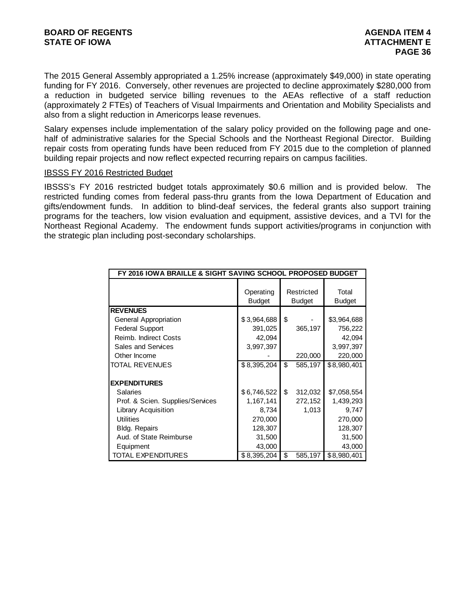The 2015 General Assembly appropriated a 1.25% increase (approximately \$49,000) in state operating funding for FY 2016. Conversely, other revenues are projected to decline approximately \$280,000 from a reduction in budgeted service billing revenues to the AEAs reflective of a staff reduction (approximately 2 FTEs) of Teachers of Visual Impairments and Orientation and Mobility Specialists and also from a slight reduction in Americorps lease revenues.

Salary expenses include implementation of the salary policy provided on the following page and onehalf of administrative salaries for the Special Schools and the Northeast Regional Director. Building repair costs from operating funds have been reduced from FY 2015 due to the completion of planned building repair projects and now reflect expected recurring repairs on campus facilities.

#### IBSSS FY 2016 Restricted Budget

IBSSS's FY 2016 restricted budget totals approximately \$0.6 million and is provided below. The restricted funding comes from federal pass-thru grants from the Iowa Department of Education and gifts/endowment funds. In addition to blind-deaf services, the federal grants also support training programs for the teachers, low vision evaluation and equipment, assistive devices, and a TVI for the Northeast Regional Academy. The endowment funds support activities/programs in conjunction with the strategic plan including post-secondary scholarships.

| FY 2016 IOWA BRAILLE & SIGHT SAVING SCHOOL PROPOSED BUDGET |                            |                             |                        |
|------------------------------------------------------------|----------------------------|-----------------------------|------------------------|
|                                                            | Operating<br><b>Budget</b> | Restricted<br><b>Budget</b> | Total<br><b>Budget</b> |
| <b>REVENUES</b>                                            |                            |                             |                        |
| General Appropriation                                      | \$3,964,688                | \$                          | \$3,964,688            |
| <b>Federal Support</b>                                     | 391,025                    | 365,197                     | 756,222                |
| Reimb. Indirect Costs                                      | 42,094                     |                             | 42,094                 |
| Sales and Services                                         | 3,997,397                  |                             | 3,997,397              |
| Other Income                                               |                            | 220,000                     | 220,000                |
| TOTAL REVENUES                                             | \$8,395,204                | \$<br>585,197               | \$8,980,401            |
| <b>EXPENDITURES</b>                                        |                            |                             |                        |
| Salaries                                                   |                            | \$                          |                        |
|                                                            | \$6,746,522                | 312,032                     | \$7,058,554            |
| Prof. & Scien. Supplies/Services                           | 1,167,141                  | 272,152                     | 1,439,293              |
| <b>Library Acquisition</b>                                 | 8,734                      | 1,013                       | 9,747                  |
| <b>Utilities</b>                                           | 270,000                    |                             | 270,000                |
| Bldg. Repairs                                              | 128,307                    |                             | 128,307                |
| Aud. of State Reimburse                                    | 31,500                     |                             | 31,500                 |
| Equipment                                                  | 43,000                     |                             | 43,000                 |
| TOTAL EXPENDITURES                                         | \$8,395,204                | \$<br>585,197               | \$8,980,401            |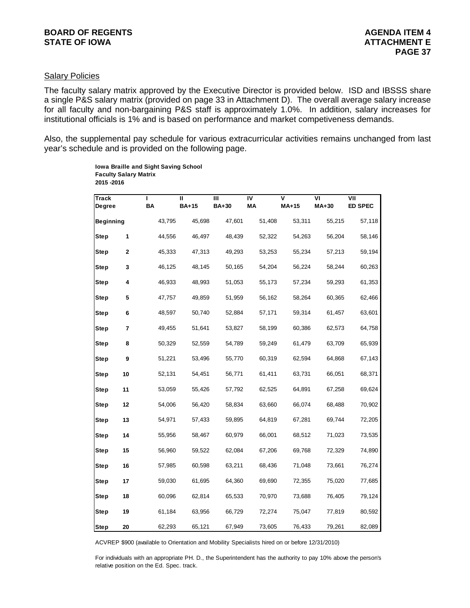# Salary Policies

The faculty salary matrix approved by the Executive Director is provided below. ISD and IBSSS share a single P&S salary matrix (provided on page 33 in Attachment D). The overall average salary increase for all faculty and non-bargaining P&S staff is approximately 1.0%. In addition, salary increases for institutional officials is 1% and is based on performance and market competiveness demands.

Also, the supplemental pay schedule for various extracurricular activities remains unchanged from last year's schedule and is provided on the following page.

> **Iowa Braille and Sight Saving School Faculty Salary Matrix 2015 -2016**

| <b>Track</b><br>Degree |    | ı<br>BA | Ш<br><b>BA+15</b> | Ш<br><b>BA+30</b> | $\overline{\mathsf{N}}$<br>MА | $\overline{\mathsf{v}}$<br>$MA+15$ | VΙ<br>$MA+30$ | VII<br><b>ED SPEC</b> |
|------------------------|----|---------|-------------------|-------------------|-------------------------------|------------------------------------|---------------|-----------------------|
| Beginning              |    | 43,795  | 45,698            | 47,601            | 51,408                        | 53,311                             | 55,215        | 57,118                |
| <b>Step</b>            | 1  | 44,556  | 46,497            | 48,439            | 52,322                        | 54,263                             | 56,204        | 58,146                |
| Step                   | 2  | 45,333  | 47,313            | 49,293            | 53,253                        | 55,234                             | 57,213        | 59,194                |
| Step                   | 3  | 46,125  | 48,145            | 50,165            | 54,204                        | 56,224                             | 58,244        | 60,263                |
| <b>Step</b>            | 4  | 46,933  | 48,993            | 51,053            | 55,173                        | 57,234                             | 59,293        | 61,353                |
| Step                   | 5  | 47,757  | 49,859            | 51,959            | 56,162                        | 58,264                             | 60,365        | 62,466                |
| <b>Step</b>            | 6  | 48,597  | 50,740            | 52,884            | 57,171                        | 59,314                             | 61,457        | 63,601                |
| <b>Step</b>            | 7  | 49,455  | 51,641            | 53,827            | 58,199                        | 60,386                             | 62,573        | 64,758                |
| Step                   | 8  | 50,329  | 52,559            | 54,789            | 59,249                        | 61,479                             | 63,709        | 65,939                |
| <b>Step</b>            | 9  | 51,221  | 53,496            | 55,770            | 60,319                        | 62,594                             | 64,868        | 67,143                |
| <b>Step</b>            | 10 | 52,131  | 54,451            | 56,771            | 61,411                        | 63,731                             | 66,051        | 68,371                |
| Step                   | 11 | 53,059  | 55,426            | 57,792            | 62,525                        | 64,891                             | 67,258        | 69,624                |
| Step                   | 12 | 54,006  | 56,420            | 58,834            | 63,660                        | 66,074                             | 68,488        | 70,902                |
| <b>Step</b>            | 13 | 54,971  | 57,433            | 59,895            | 64,819                        | 67,281                             | 69,744        | 72,205                |
| Step                   | 14 | 55,956  | 58,467            | 60,979            | 66,001                        | 68,512                             | 71,023        | 73,535                |
| <b>Step</b>            | 15 | 56,960  | 59,522            | 62,084            | 67,206                        | 69,768                             | 72,329        | 74,890                |
| Step                   | 16 | 57,985  | 60,598            | 63,211            | 68,436                        | 71,048                             | 73,661        | 76,274                |
| Step                   | 17 | 59,030  | 61,695            | 64,360            | 69,690                        | 72,355                             | 75,020        | 77,685                |
| Step                   | 18 | 60,096  | 62,814            | 65,533            | 70,970                        | 73,688                             | 76,405        | 79,124                |
| Step                   | 19 | 61,184  | 63,956            | 66,729            | 72,274                        | 75,047                             | 77,819        | 80,592                |
| <b>Step</b>            | 20 | 62,293  | 65,121            | 67,949            | 73,605                        | 76,433                             | 79,261        | 82,089                |

ACVREP \$900 (available to Orientation and Mobility Specialists hired on or before 12/31/2010)

For individuals with an appropriate PH. D., the Superintendent has the authority to pay 10% above the person's relative position on the Ed. Spec. track.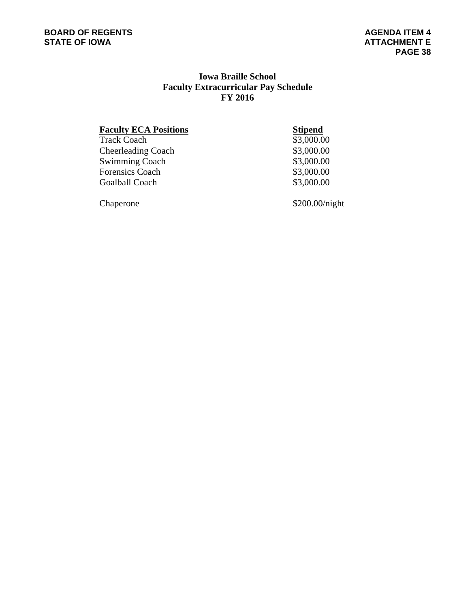# **Iowa Braille School Faculty Extracurricular Pay Schedule FY 2016**

**Faculty ECA Positions**<br>Track Coach \$3,000.00 Cheerleading Coach \$3,000.00<br>Swimming Coach \$3,000.00 Swimming Coach \$3,000.00<br>Forensics Coach \$3,000.00 Goalball Coach  $$3,000.00$ 

Track Coach

Forensics Coach

Chaperone \$200.00/night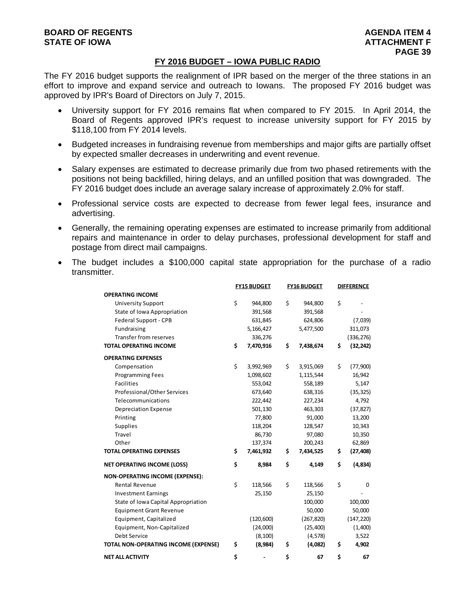#### **FY 2016 BUDGET – IOWA PUBLIC RADIO**

The FY 2016 budget supports the realignment of IPR based on the merger of the three stations in an effort to improve and expand service and outreach to Iowans. The proposed FY 2016 budget was approved by IPR's Board of Directors on July 7, 2015.

- University support for FY 2016 remains flat when compared to FY 2015. In April 2014, the Board of Regents approved IPR's request to increase university support for FY 2015 by \$118,100 from FY 2014 levels.
- Budgeted increases in fundraising revenue from memberships and major gifts are partially offset by expected smaller decreases in underwriting and event revenue.
- Salary expenses are estimated to decrease primarily due from two phased retirements with the positions not being backfilled, hiring delays, and an unfilled position that was downgraded. The FY 2016 budget does include an average salary increase of approximately 2.0% for staff.
- Professional service costs are expected to decrease from fewer legal fees, insurance and advertising.
- Generally, the remaining operating expenses are estimated to increase primarily from additional repairs and maintenance in order to delay purchases, professional development for staff and postage from direct mail campaigns.
- The budget includes a \$100,000 capital state appropriation for the purchase of a radio transmitter.

|                                        | <b>FY15 BUDGET</b> | <b>FY16 BUDGET</b> | <b>DIFFERENCE</b> |
|----------------------------------------|--------------------|--------------------|-------------------|
| <b>OPERATING INCOME</b>                |                    |                    |                   |
| <b>University Support</b>              | \$<br>944,800      | \$<br>944,800      | \$                |
| State of Iowa Appropriation            | 391,568            | 391,568            |                   |
| Federal Support - CPB                  | 631,845            | 624,806            | (7,039)           |
| Fundraising                            | 5,166,427          | 5,477,500          | 311,073           |
| Transfer from reserves                 | 336,276            |                    | (336, 276)        |
| <b>TOTAL OPERATING INCOME</b>          | \$<br>7,470,916    | \$<br>7,438,674    | \$<br>(32, 242)   |
| <b>OPERATING EXPENSES</b>              |                    |                    |                   |
| Compensation                           | \$<br>3,992,969    | \$<br>3,915,069    | \$<br>(77,900)    |
| <b>Programming Fees</b>                | 1,098,602          | 1,115,544          | 16,942            |
| <b>Facilities</b>                      | 553,042            | 558,189            | 5,147             |
| Professional/Other Services            | 673,640            | 638,316            | (35, 325)         |
| Telecommunications                     | 222,442            | 227,234            | 4,792             |
| Depreciation Expense                   | 501,130            | 463,303            | (37, 827)         |
| Printing                               | 77,800             | 91,000             | 13,200            |
| <b>Supplies</b>                        | 118,204            | 128,547            | 10,343            |
| Travel                                 | 86,730             | 97,080             | 10,350            |
| Other                                  | 137,374            | 200,243            | 62,869            |
| <b>TOTAL OPERATING EXPENSES</b>        | \$<br>7,461,932    | \$<br>7,434,525    | \$<br>(27, 408)   |
| <b>NET OPERATING INCOME (LOSS)</b>     | \$<br>8,984        | \$<br>4,149        | \$<br>(4,834)     |
| <b>NON-OPERATING INCOME (EXPENSE):</b> |                    |                    |                   |
| <b>Rental Revenue</b>                  | \$<br>118,566      | \$<br>118,566      | \$<br>0           |
| <b>Investment Earnings</b>             | 25,150             | 25,150             |                   |
| State of Iowa Capital Appropriation    |                    | 100,000            | 100,000           |
| <b>Equipment Grant Revenue</b>         |                    | 50,000             | 50,000            |
| Equipment, Capitalized                 | (120, 600)         | (267, 820)         | (147, 220)        |
| Equipment, Non-Capitalized             | (24,000)           | (25, 400)          | (1,400)           |
| Debt Service                           | (8, 100)           | (4, 578)           | 3,522             |
| TOTAL NON-OPERATING INCOME (EXPENSE)   | \$<br>(8,984)      | \$<br>(4,082)      | \$<br>4,902       |
| <b>NET ALL ACTIVITY</b>                | \$                 | \$<br>67           | \$<br>67          |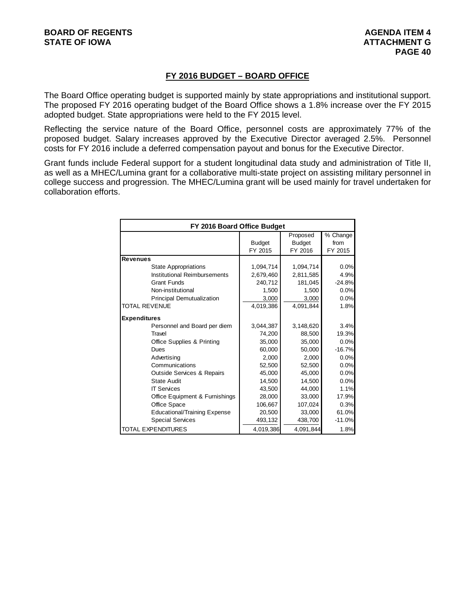# **FY 2016 BUDGET – BOARD OFFICE**

The Board Office operating budget is supported mainly by state appropriations and institutional support. The proposed FY 2016 operating budget of the Board Office shows a 1.8% increase over the FY 2015 adopted budget. State appropriations were held to the FY 2015 level.

Reflecting the service nature of the Board Office, personnel costs are approximately 77% of the proposed budget. Salary increases approved by the Executive Director averaged 2.5%. Personnel costs for FY 2016 include a deferred compensation payout and bonus for the Executive Director.

Grant funds include Federal support for a student longitudinal data study and administration of Title II, as well as a MHEC/Lumina grant for a collaborative multi-state project on assisting military personnel in college success and progression. The MHEC/Lumina grant will be used mainly for travel undertaken for collaboration efforts.

|                                       | FY 2016 Board Office Budget |               |          |  |  |  |  |  |  |
|---------------------------------------|-----------------------------|---------------|----------|--|--|--|--|--|--|
|                                       |                             | Proposed      | % Change |  |  |  |  |  |  |
|                                       | <b>Budget</b>               | <b>Budget</b> | from     |  |  |  |  |  |  |
|                                       | FY 2015                     | FY 2016       | FY 2015  |  |  |  |  |  |  |
| <b>Revenues</b>                       |                             |               |          |  |  |  |  |  |  |
| <b>State Appropriations</b>           | 1,094,714                   | 1,094,714     | 0.0%     |  |  |  |  |  |  |
| Institutional Reimbursements          | 2,679,460                   | 2,811,585     | 4.9%     |  |  |  |  |  |  |
| <b>Grant Funds</b>                    | 240.712                     | 181,045       | $-24.8%$ |  |  |  |  |  |  |
| Non-institutional                     | 1,500                       | 1,500         | 0.0%     |  |  |  |  |  |  |
| <b>Principal Demutualization</b>      | 3,000                       | 3,000         | 0.0%     |  |  |  |  |  |  |
| <b>TOTAL REVENUE</b>                  | 4,019,386                   | 4,091,844     | 1.8%     |  |  |  |  |  |  |
| <b>Expenditures</b>                   |                             |               |          |  |  |  |  |  |  |
| Personnel and Board per diem          | 3.044.387                   | 3,148,620     | 3.4%     |  |  |  |  |  |  |
| Travel                                | 74,200                      | 88,500        | 19.3%    |  |  |  |  |  |  |
| Office Supplies & Printing            | 35,000                      | 35,000        | 0.0%     |  |  |  |  |  |  |
| Dues                                  | 60,000                      | 50.000        | $-16.7%$ |  |  |  |  |  |  |
| Advertising                           | 2,000                       | 2,000         | 0.0%     |  |  |  |  |  |  |
| Communications                        | 52,500                      | 52,500        | 0.0%     |  |  |  |  |  |  |
| <b>Outside Services &amp; Repairs</b> | 45,000                      | 45,000        | 0.0%     |  |  |  |  |  |  |
| State Audit                           | 14.500                      | 14.500        | 0.0%     |  |  |  |  |  |  |
| <b>IT Services</b>                    | 43,500                      | 44.000        | 1.1%     |  |  |  |  |  |  |
| Office Equipment & Furnishings        | 28,000                      | 33,000        | 17.9%    |  |  |  |  |  |  |
| Office Space                          | 106,667                     | 107,024       | 0.3%     |  |  |  |  |  |  |
| <b>Educational/Training Expense</b>   | 20,500                      | 33,000        | 61.0%    |  |  |  |  |  |  |
| <b>Special Services</b>               | 493,132                     | 438,700       | $-11.0%$ |  |  |  |  |  |  |
| <b>TOTAL EXPENDITURES</b>             | 4,019,386                   | 4,091,844     | 1.8%     |  |  |  |  |  |  |